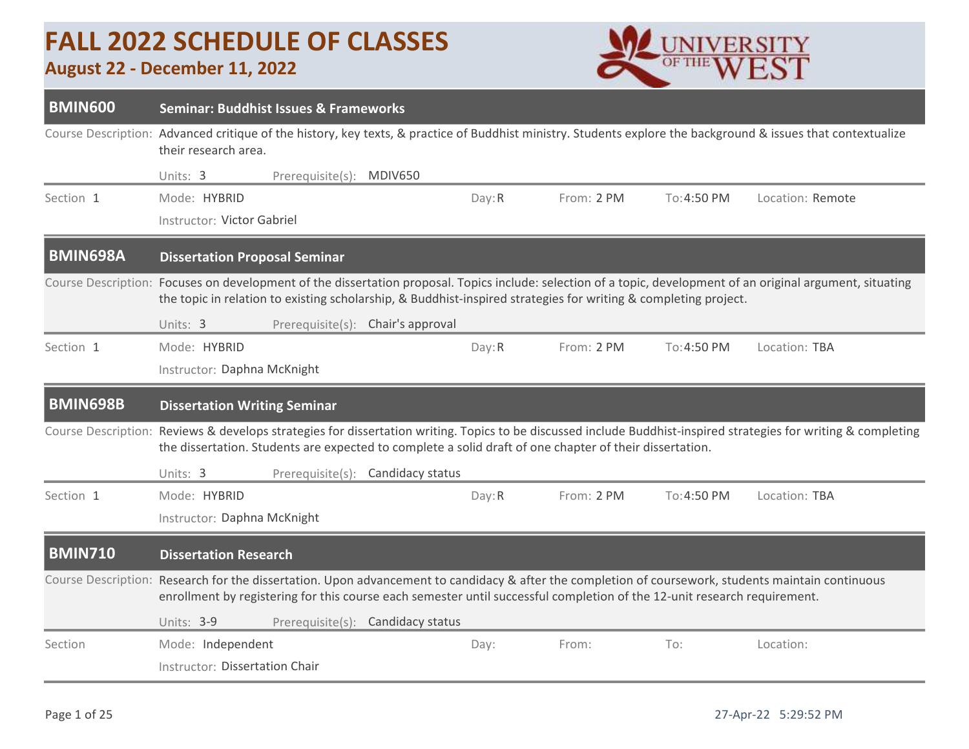## **FALL 2022 SCHEDULE OF CLASSES**

## **August 22 - December 11, 2022**



| <b>BMIN600</b>  | <b>Seminar: Buddhist Issues &amp; Frameworks</b>                                                                         |                          |                                   |        |            |             |                                                                                                                                                                  |
|-----------------|--------------------------------------------------------------------------------------------------------------------------|--------------------------|-----------------------------------|--------|------------|-------------|------------------------------------------------------------------------------------------------------------------------------------------------------------------|
|                 | their research area.                                                                                                     |                          |                                   |        |            |             | Course Description: Advanced critique of the history, key texts, & practice of Buddhist ministry. Students explore the background & issues that contextualize    |
|                 | Units: 3                                                                                                                 | Prerequisite(s): MDIV650 |                                   |        |            |             |                                                                                                                                                                  |
| Section 1       | Mode: HYBRID                                                                                                             |                          |                                   | Day: R | From: 2 PM | To: 4:50 PM | Location: Remote                                                                                                                                                 |
|                 | Instructor: Victor Gabriel                                                                                               |                          |                                   |        |            |             |                                                                                                                                                                  |
| <b>BMIN698A</b> | <b>Dissertation Proposal Seminar</b>                                                                                     |                          |                                   |        |            |             |                                                                                                                                                                  |
|                 | the topic in relation to existing scholarship, & Buddhist-inspired strategies for writing & completing project.          |                          |                                   |        |            |             | Course Description: Focuses on development of the dissertation proposal. Topics include: selection of a topic, development of an original argument, situating    |
|                 | Units: 3                                                                                                                 | Prerequisite(s):         | Chair's approval                  |        |            |             |                                                                                                                                                                  |
| Section 1       | Mode: HYBRID                                                                                                             |                          |                                   | Day: R | From: 2 PM | To: 4:50 PM | Location: TBA                                                                                                                                                    |
|                 | Instructor: Daphna McKnight                                                                                              |                          |                                   |        |            |             |                                                                                                                                                                  |
| <b>BMIN698B</b> | <b>Dissertation Writing Seminar</b>                                                                                      |                          |                                   |        |            |             |                                                                                                                                                                  |
|                 | the dissertation. Students are expected to complete a solid draft of one chapter of their dissertation.                  |                          |                                   |        |            |             | Course Description: Reviews & develops strategies for dissertation writing. Topics to be discussed include Buddhist-inspired strategies for writing & completing |
|                 | Units: 3                                                                                                                 | Prerequisite(s):         | Candidacy status                  |        |            |             |                                                                                                                                                                  |
| Section 1       | Mode: HYBRID                                                                                                             |                          |                                   | Day: R | From: 2 PM | To: 4:50 PM | Location: TBA                                                                                                                                                    |
|                 | Instructor: Daphna McKnight                                                                                              |                          |                                   |        |            |             |                                                                                                                                                                  |
| <b>BMIN710</b>  | <b>Dissertation Research</b>                                                                                             |                          |                                   |        |            |             |                                                                                                                                                                  |
|                 | enrollment by registering for this course each semester until successful completion of the 12-unit research requirement. |                          |                                   |        |            |             | Course Description: Research for the dissertation. Upon advancement to candidacy & after the completion of coursework, students maintain continuous              |
|                 | Units: 3-9                                                                                                               |                          | Prerequisite(s): Candidacy status |        |            |             |                                                                                                                                                                  |
| Section         | Mode: Independent                                                                                                        |                          |                                   | Day:   | From:      | To:         | Location:                                                                                                                                                        |
|                 | Instructor: Dissertation Chair                                                                                           |                          |                                   |        |            |             |                                                                                                                                                                  |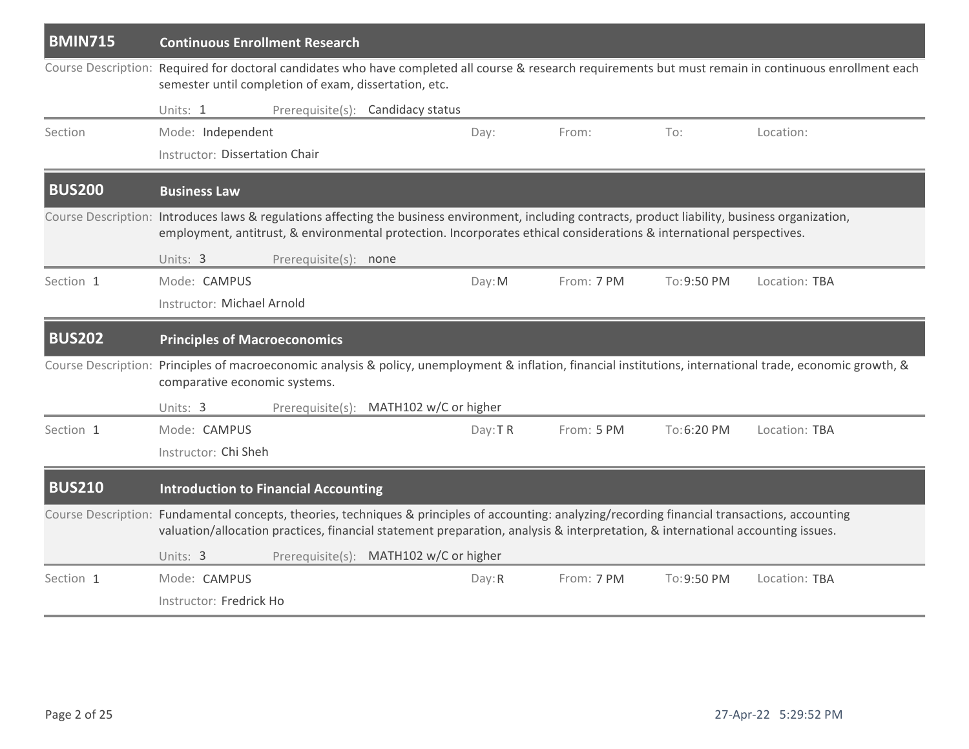| <b>BMIN715</b> | <b>Continuous Enrollment Research</b>                                                                                                                                                                                                                                               |                       |                                        |         |            |             |                                                                                                                                                              |
|----------------|-------------------------------------------------------------------------------------------------------------------------------------------------------------------------------------------------------------------------------------------------------------------------------------|-----------------------|----------------------------------------|---------|------------|-------------|--------------------------------------------------------------------------------------------------------------------------------------------------------------|
|                | semester until completion of exam, dissertation, etc.                                                                                                                                                                                                                               |                       |                                        |         |            |             | Course Description: Required for doctoral candidates who have completed all course & research requirements but must remain in continuous enrollment each     |
|                | Units: 1                                                                                                                                                                                                                                                                            |                       | Prerequisite(s): Candidacy status      |         |            |             |                                                                                                                                                              |
| Section        | Mode: Independent                                                                                                                                                                                                                                                                   |                       |                                        | Day:    | From:      | To:         | Location:                                                                                                                                                    |
|                | Instructor: Dissertation Chair                                                                                                                                                                                                                                                      |                       |                                        |         |            |             |                                                                                                                                                              |
| <b>BUS200</b>  | <b>Business Law</b>                                                                                                                                                                                                                                                                 |                       |                                        |         |            |             |                                                                                                                                                              |
|                | Course Description: Introduces laws & regulations affecting the business environment, including contracts, product liability, business organization,<br>employment, antitrust, & environmental protection. Incorporates ethical considerations & international perspectives.        |                       |                                        |         |            |             |                                                                                                                                                              |
|                | Units: 3                                                                                                                                                                                                                                                                            | Prerequisite(s): none |                                        |         |            |             |                                                                                                                                                              |
| Section 1      | Mode: CAMPUS                                                                                                                                                                                                                                                                        |                       |                                        | Day: M  | From: 7 PM | To: 9:50 PM | Location: TBA                                                                                                                                                |
|                | Instructor: Michael Arnold                                                                                                                                                                                                                                                          |                       |                                        |         |            |             |                                                                                                                                                              |
| <b>BUS202</b>  | <b>Principles of Macroeconomics</b>                                                                                                                                                                                                                                                 |                       |                                        |         |            |             |                                                                                                                                                              |
|                | comparative economic systems.                                                                                                                                                                                                                                                       |                       |                                        |         |            |             | Course Description: Principles of macroeconomic analysis & policy, unemployment & inflation, financial institutions, international trade, economic growth, & |
|                | Units: 3                                                                                                                                                                                                                                                                            |                       | Prerequisite(s): MATH102 w/C or higher |         |            |             |                                                                                                                                                              |
| Section 1      | Mode: CAMPUS                                                                                                                                                                                                                                                                        |                       |                                        | Day: TR | From: 5 PM | To:6:20 PM  | Location: TBA                                                                                                                                                |
|                | Instructor: Chi Sheh                                                                                                                                                                                                                                                                |                       |                                        |         |            |             |                                                                                                                                                              |
| <b>BUS210</b>  | <b>Introduction to Financial Accounting</b>                                                                                                                                                                                                                                         |                       |                                        |         |            |             |                                                                                                                                                              |
|                | Course Description: Fundamental concepts, theories, techniques & principles of accounting: analyzing/recording financial transactions, accounting<br>valuation/allocation practices, financial statement preparation, analysis & interpretation, & international accounting issues. |                       |                                        |         |            |             |                                                                                                                                                              |
|                | Units: 3                                                                                                                                                                                                                                                                            |                       | Prerequisite(s): MATH102 w/C or higher |         |            |             |                                                                                                                                                              |
| Section 1      | Mode: CAMPUS                                                                                                                                                                                                                                                                        |                       |                                        | Day: R  | From: 7 PM | To: 9:50 PM | Location: TBA                                                                                                                                                |
|                | Instructor: Fredrick Ho                                                                                                                                                                                                                                                             |                       |                                        |         |            |             |                                                                                                                                                              |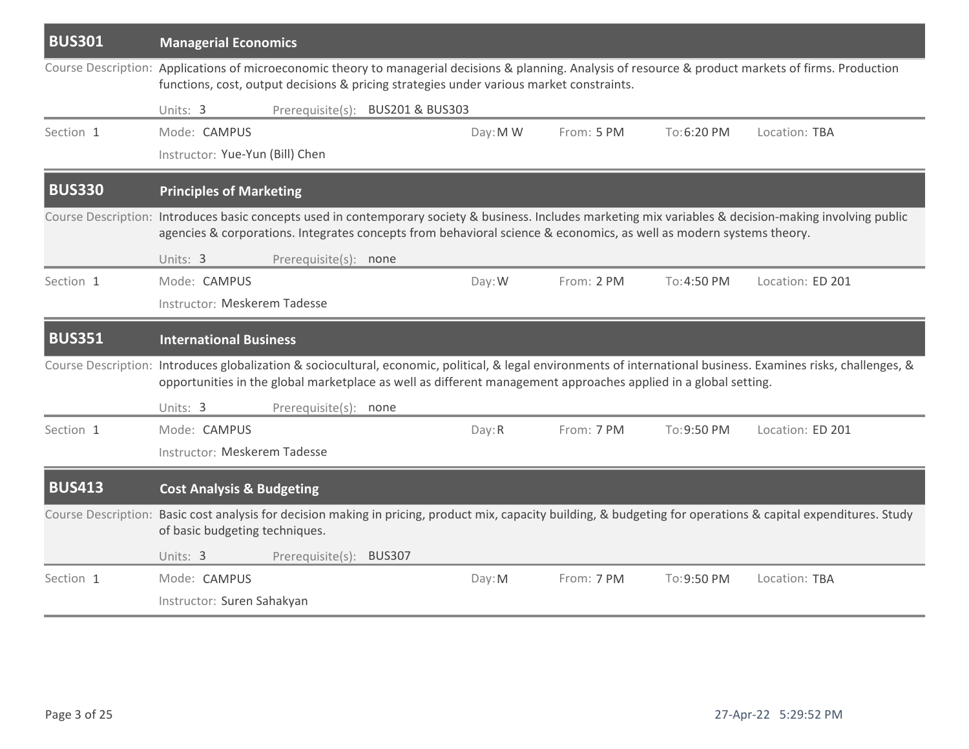| <b>BUS301</b> | <b>Managerial Economics</b>                                                                                         |                         |                                  |          |            |             |                                                                                                                                                                  |
|---------------|---------------------------------------------------------------------------------------------------------------------|-------------------------|----------------------------------|----------|------------|-------------|------------------------------------------------------------------------------------------------------------------------------------------------------------------|
|               | functions, cost, output decisions & pricing strategies under various market constraints.                            |                         |                                  |          |            |             | Course Description: Applications of microeconomic theory to managerial decisions & planning. Analysis of resource & product markets of firms. Production         |
|               | Units: 3                                                                                                            |                         | Prerequisite(s): BUS201 & BUS303 |          |            |             |                                                                                                                                                                  |
| Section 1     | Mode: CAMPUS                                                                                                        |                         |                                  | Day: M W | From: 5 PM | To:6:20 PM  | Location: TBA                                                                                                                                                    |
|               | Instructor: Yue-Yun (Bill) Chen                                                                                     |                         |                                  |          |            |             |                                                                                                                                                                  |
| <b>BUS330</b> | <b>Principles of Marketing</b>                                                                                      |                         |                                  |          |            |             |                                                                                                                                                                  |
|               | agencies & corporations. Integrates concepts from behavioral science & economics, as well as modern systems theory. |                         |                                  |          |            |             | Course Description: Introduces basic concepts used in contemporary society & business. Includes marketing mix variables & decision-making involving public       |
|               | Units: 3                                                                                                            | Prerequisite(s): none   |                                  |          |            |             |                                                                                                                                                                  |
| Section 1     | Mode: CAMPUS                                                                                                        |                         |                                  | Day: W   | From: 2 PM | To: 4:50 PM | Location: ED 201                                                                                                                                                 |
|               | Instructor: Meskerem Tadesse                                                                                        |                         |                                  |          |            |             |                                                                                                                                                                  |
| <b>BUS351</b> | <b>International Business</b>                                                                                       |                         |                                  |          |            |             |                                                                                                                                                                  |
|               | opportunities in the global marketplace as well as different management approaches applied in a global setting.     |                         |                                  |          |            |             | Course Description: Introduces globalization & sociocultural, economic, political, & legal environments of international business. Examines risks, challenges, & |
|               | Units: 3                                                                                                            | Prerequisite(s): none   |                                  |          |            |             |                                                                                                                                                                  |
| Section 1     | Mode: CAMPUS                                                                                                        |                         |                                  | Day: R   | From: 7 PM | To: 9:50 PM | Location: ED 201                                                                                                                                                 |
|               | Instructor: Meskerem Tadesse                                                                                        |                         |                                  |          |            |             |                                                                                                                                                                  |
| <b>BUS413</b> | <b>Cost Analysis &amp; Budgeting</b>                                                                                |                         |                                  |          |            |             |                                                                                                                                                                  |
|               | of basic budgeting techniques.                                                                                      |                         |                                  |          |            |             | Course Description: Basic cost analysis for decision making in pricing, product mix, capacity building, & budgeting for operations & capital expenditures. Study |
|               | Units: 3                                                                                                            | Prerequisite(s): BUS307 |                                  |          |            |             |                                                                                                                                                                  |
| Section 1     | Mode: CAMPUS                                                                                                        |                         |                                  | Day: M   | From: 7 PM | To: 9:50 PM | Location: TBA                                                                                                                                                    |
|               | Instructor: Suren Sahakyan                                                                                          |                         |                                  |          |            |             |                                                                                                                                                                  |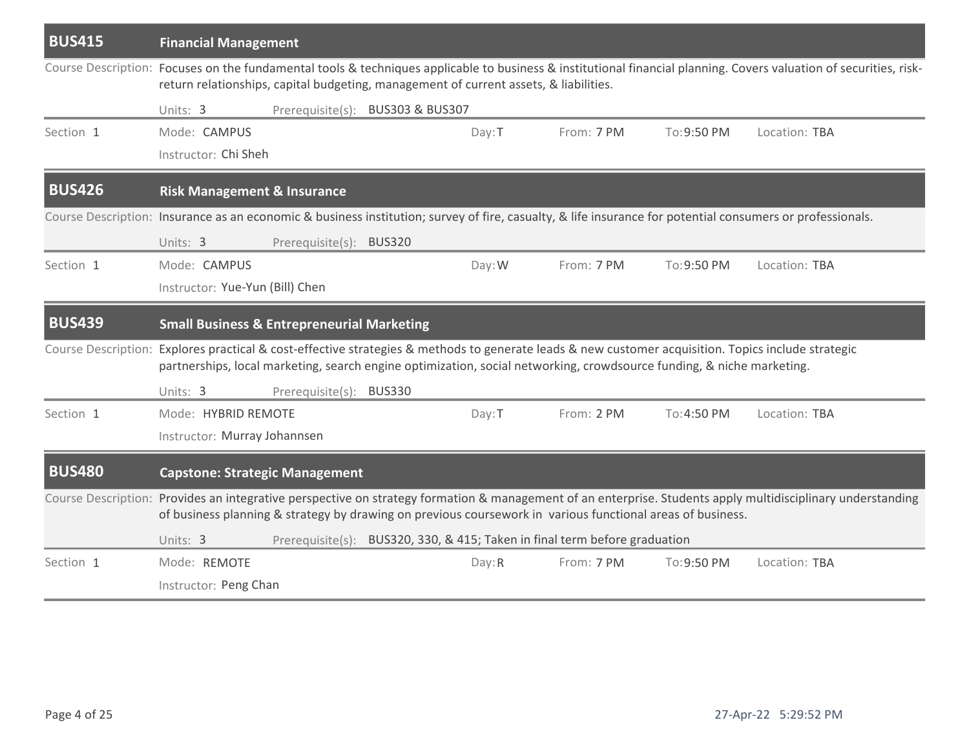| <b>BUS415</b> | <b>Financial Management</b>                                                                                           |                         |                                  |        |                                                                            |             |                                                                                                                                                                    |
|---------------|-----------------------------------------------------------------------------------------------------------------------|-------------------------|----------------------------------|--------|----------------------------------------------------------------------------|-------------|--------------------------------------------------------------------------------------------------------------------------------------------------------------------|
|               | return relationships, capital budgeting, management of current assets, & liabilities.                                 |                         |                                  |        |                                                                            |             | Course Description: Focuses on the fundamental tools & techniques applicable to business & institutional financial planning. Covers valuation of securities, risk- |
|               | Units: 3                                                                                                              |                         | Prerequisite(s): BUS303 & BUS307 |        |                                                                            |             |                                                                                                                                                                    |
| Section 1     | Mode: CAMPUS                                                                                                          |                         |                                  | Day: T | From: 7 PM                                                                 | To: 9:50 PM | Location: TBA                                                                                                                                                      |
|               | Instructor: Chi Sheh                                                                                                  |                         |                                  |        |                                                                            |             |                                                                                                                                                                    |
| <b>BUS426</b> | <b>Risk Management &amp; Insurance</b>                                                                                |                         |                                  |        |                                                                            |             |                                                                                                                                                                    |
|               |                                                                                                                       |                         |                                  |        |                                                                            |             | Course Description: Insurance as an economic & business institution; survey of fire, casualty, & life insurance for potential consumers or professionals.          |
|               | Units: 3                                                                                                              | Prerequisite(s): BUS320 |                                  |        |                                                                            |             |                                                                                                                                                                    |
| Section 1     | Mode: CAMPUS                                                                                                          |                         |                                  | Day: W | From: 7 PM                                                                 | To: 9:50 PM | Location: TBA                                                                                                                                                      |
|               | Instructor: Yue-Yun (Bill) Chen                                                                                       |                         |                                  |        |                                                                            |             |                                                                                                                                                                    |
| <b>BUS439</b> | <b>Small Business &amp; Entrepreneurial Marketing</b>                                                                 |                         |                                  |        |                                                                            |             |                                                                                                                                                                    |
|               | partnerships, local marketing, search engine optimization, social networking, crowdsource funding, & niche marketing. |                         |                                  |        |                                                                            |             | Course Description: Explores practical & cost-effective strategies & methods to generate leads & new customer acquisition. Topics include strategic                |
|               | Units: 3                                                                                                              | Prerequisite(s): BUS330 |                                  |        |                                                                            |             |                                                                                                                                                                    |
| Section 1     | Mode: HYBRID REMOTE                                                                                                   |                         |                                  | Day: T | From: 2 PM                                                                 | To: 4:50 PM | Location: TBA                                                                                                                                                      |
|               | Instructor: Murray Johannsen                                                                                          |                         |                                  |        |                                                                            |             |                                                                                                                                                                    |
| <b>BUS480</b> | <b>Capstone: Strategic Management</b>                                                                                 |                         |                                  |        |                                                                            |             |                                                                                                                                                                    |
|               | of business planning & strategy by drawing on previous coursework in various functional areas of business.            |                         |                                  |        |                                                                            |             | Course Description: Provides an integrative perspective on strategy formation & management of an enterprise. Students apply multidisciplinary understanding        |
|               | Units: 3                                                                                                              |                         |                                  |        | Prerequisite(s): BUS320, 330, & 415; Taken in final term before graduation |             |                                                                                                                                                                    |
| Section 1     | Mode: REMOTE                                                                                                          |                         |                                  | Day: R | From: 7 PM                                                                 | To: 9:50 PM | Location: TBA                                                                                                                                                      |
|               | Instructor: Peng Chan                                                                                                 |                         |                                  |        |                                                                            |             |                                                                                                                                                                    |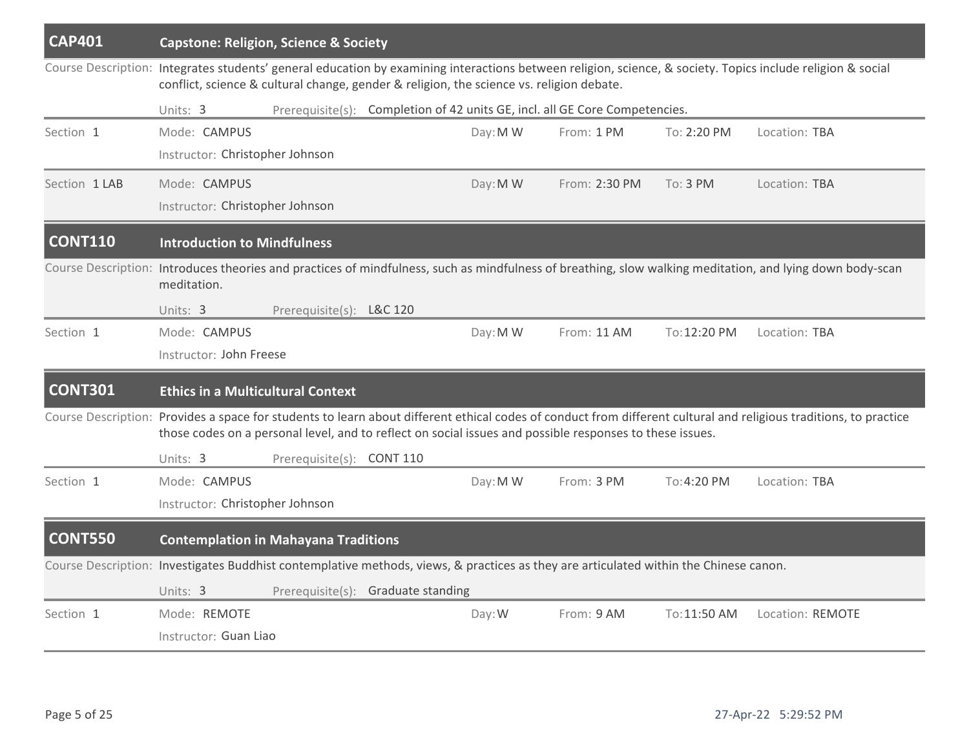| <b>CAP401</b>  | <b>Capstone: Religion, Science &amp; Society</b>                                                                                                                                                                                                                              |                                                                             |          |               |              |                  |
|----------------|-------------------------------------------------------------------------------------------------------------------------------------------------------------------------------------------------------------------------------------------------------------------------------|-----------------------------------------------------------------------------|----------|---------------|--------------|------------------|
|                | Course Description: Integrates students' general education by examining interactions between religion, science, & society. Topics include religion & social<br>conflict, science & cultural change, gender & religion, the science vs. religion debate.                       |                                                                             |          |               |              |                  |
|                | Units: 3                                                                                                                                                                                                                                                                      | Prerequisite(s): Completion of 42 units GE, incl. all GE Core Competencies. |          |               |              |                  |
| Section 1      | Mode: CAMPUS                                                                                                                                                                                                                                                                  |                                                                             | Day: M W | From: 1 PM    | To: 2:20 PM  | Location: TBA    |
|                | Instructor: Christopher Johnson                                                                                                                                                                                                                                               |                                                                             |          |               |              |                  |
| Section 1 LAB  | Mode: CAMPUS                                                                                                                                                                                                                                                                  |                                                                             | Day: M W | From: 2:30 PM | To: 3 PM     | Location: TBA    |
|                | Instructor: Christopher Johnson                                                                                                                                                                                                                                               |                                                                             |          |               |              |                  |
| <b>CONT110</b> | <b>Introduction to Mindfulness</b>                                                                                                                                                                                                                                            |                                                                             |          |               |              |                  |
|                | Course Description: Introduces theories and practices of mindfulness, such as mindfulness of breathing, slow walking meditation, and lying down body-scan<br>meditation.                                                                                                      |                                                                             |          |               |              |                  |
|                | Units: 3                                                                                                                                                                                                                                                                      | Prerequisite(s): L&C 120                                                    |          |               |              |                  |
| Section 1      | Mode: CAMPUS                                                                                                                                                                                                                                                                  |                                                                             | Day: M W | From: 11 AM   | To: 12:20 PM | Location: TBA    |
|                | Instructor: John Freese                                                                                                                                                                                                                                                       |                                                                             |          |               |              |                  |
| <b>CONT301</b> | <b>Ethics in a Multicultural Context</b>                                                                                                                                                                                                                                      |                                                                             |          |               |              |                  |
|                | Course Description: Provides a space for students to learn about different ethical codes of conduct from different cultural and religious traditions, to practice<br>those codes on a personal level, and to reflect on social issues and possible responses to these issues. |                                                                             |          |               |              |                  |
|                | Units: 3                                                                                                                                                                                                                                                                      | Prerequisite(s): CONT 110                                                   |          |               |              |                  |
| Section 1      | Mode: CAMPUS                                                                                                                                                                                                                                                                  |                                                                             | Day: M W | From: 3 PM    | To: 4:20 PM  | Location: TBA    |
|                | Instructor: Christopher Johnson                                                                                                                                                                                                                                               |                                                                             |          |               |              |                  |
| <b>CONT550</b> | <b>Contemplation in Mahayana Traditions</b>                                                                                                                                                                                                                                   |                                                                             |          |               |              |                  |
|                | Course Description: Investigates Buddhist contemplative methods, views, & practices as they are articulated within the Chinese canon.                                                                                                                                         |                                                                             |          |               |              |                  |
|                | Units: 3                                                                                                                                                                                                                                                                      | Prerequisite(s): Graduate standing                                          |          |               |              |                  |
| Section 1      | Mode: REMOTE                                                                                                                                                                                                                                                                  |                                                                             | Day: W   | From: 9 AM    | To: 11:50 AM | Location: REMOTE |
|                | Instructor: Guan Liao                                                                                                                                                                                                                                                         |                                                                             |          |               |              |                  |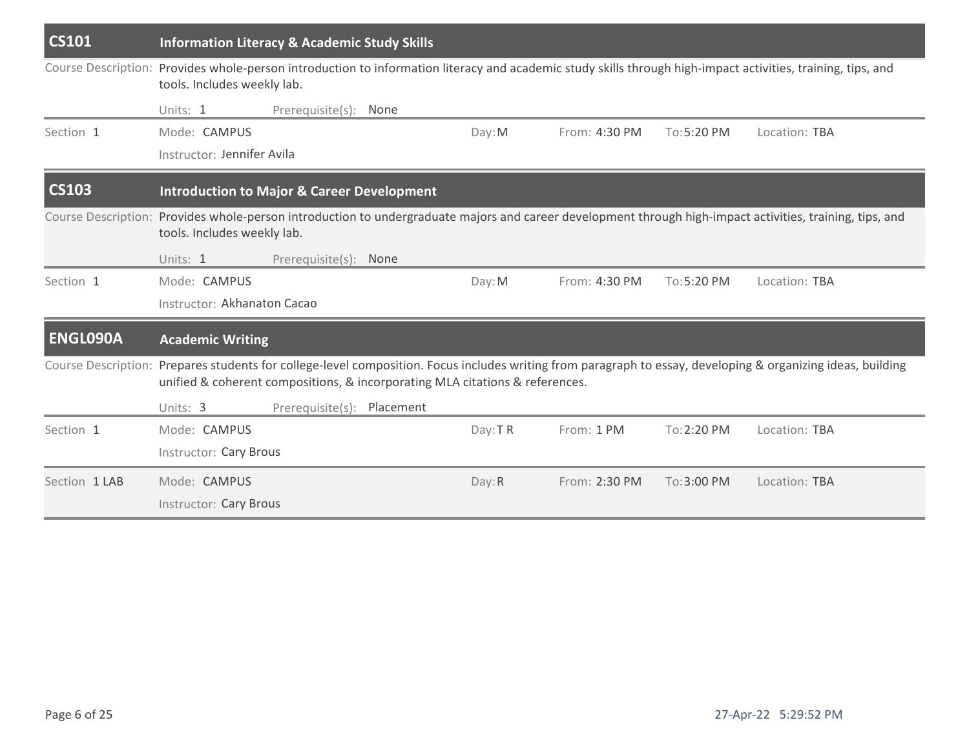| <b>CS101</b>        |                                                                                                                                                                                             | <b>Information Literacy &amp; Academic Study Skills</b> |  |         |               |              |                                                                                                                                                           |  |  |  |  |
|---------------------|---------------------------------------------------------------------------------------------------------------------------------------------------------------------------------------------|---------------------------------------------------------|--|---------|---------------|--------------|-----------------------------------------------------------------------------------------------------------------------------------------------------------|--|--|--|--|
|                     | Course Description: Provides whole-person introduction to information literacy and academic study skills through high-impact activities, training, tips, and<br>tools. Includes weekly lab. |                                                         |  |         |               |              |                                                                                                                                                           |  |  |  |  |
|                     | Units: 1                                                                                                                                                                                    | Prerequisite(s): None                                   |  |         |               |              |                                                                                                                                                           |  |  |  |  |
| Section 1           | Mode: CAMPUS                                                                                                                                                                                |                                                         |  | Day: M  | From: 4:30 PM | $To:5:20$ PM | Location: TBA                                                                                                                                             |  |  |  |  |
|                     | Instructor: Jennifer Avila                                                                                                                                                                  |                                                         |  |         |               |              |                                                                                                                                                           |  |  |  |  |
| <b>CS103</b>        | <b>Introduction to Major &amp; Career Development</b>                                                                                                                                       |                                                         |  |         |               |              |                                                                                                                                                           |  |  |  |  |
|                     | tools. Includes weekly lab.                                                                                                                                                                 |                                                         |  |         |               |              | Course Description: Provides whole-person introduction to undergraduate majors and career development through high-impact activities, training, tips, and |  |  |  |  |
|                     | Units: 1                                                                                                                                                                                    | Prerequisite(s): None                                   |  |         |               |              |                                                                                                                                                           |  |  |  |  |
| Section 1           | Mode: CAMPUS                                                                                                                                                                                |                                                         |  | Day: M  | From: 4:30 PM | To:5:20 PM   | Location: TBA                                                                                                                                             |  |  |  |  |
|                     | Instructor: Akhanaton Cacao                                                                                                                                                                 |                                                         |  |         |               |              |                                                                                                                                                           |  |  |  |  |
| <b>ENGLO90A</b>     | <b>Academic Writing</b>                                                                                                                                                                     |                                                         |  |         |               |              |                                                                                                                                                           |  |  |  |  |
| Course Description: | unified & coherent compositions, & incorporating MLA citations & references.                                                                                                                |                                                         |  |         |               |              | Prepares students for college-level composition. Focus includes writing from paragraph to essay, developing & organizing ideas, building                  |  |  |  |  |
|                     | Units: 3                                                                                                                                                                                    | Prerequisite(s): Placement                              |  |         |               |              |                                                                                                                                                           |  |  |  |  |
| Section 1           | Mode: CAMPUS                                                                                                                                                                                |                                                         |  | Day: TR | From: 1 PM    | To: 2:20 PM  | Location: TBA                                                                                                                                             |  |  |  |  |
|                     | <b>Instructor: Cary Brous</b>                                                                                                                                                               |                                                         |  |         |               |              |                                                                                                                                                           |  |  |  |  |
| Section 1 LAB       | Mode: CAMPUS                                                                                                                                                                                |                                                         |  | Day: R  | From: 2:30 PM | To:3:00 PM   | Location: TBA                                                                                                                                             |  |  |  |  |
|                     | Instructor: Cary Brous                                                                                                                                                                      |                                                         |  |         |               |              |                                                                                                                                                           |  |  |  |  |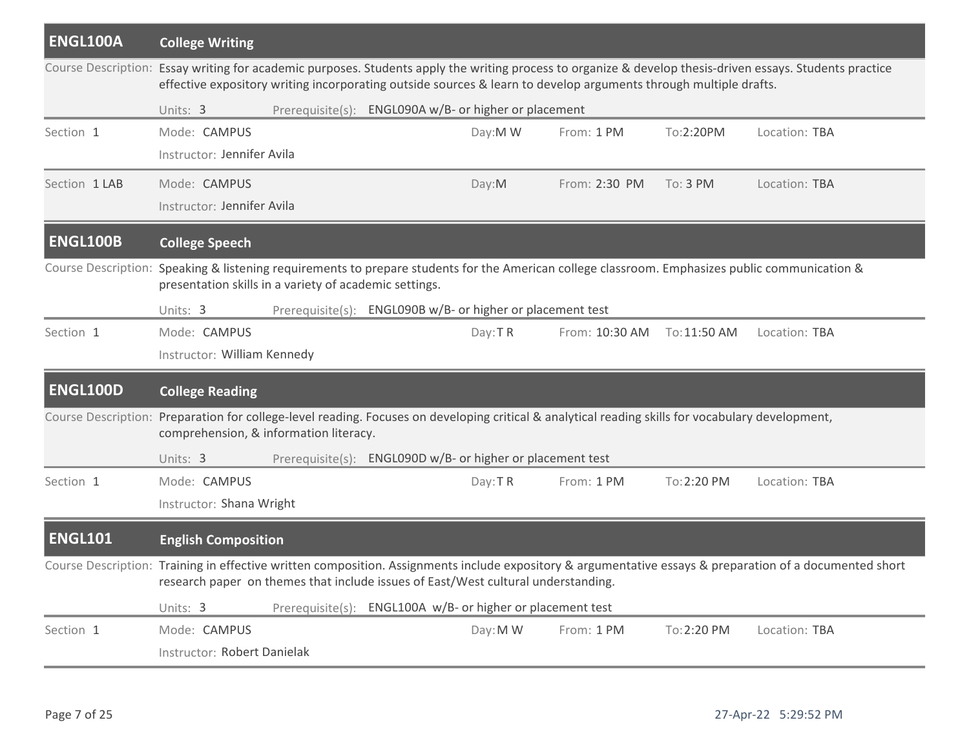| <b>ENGL100A</b> | <b>College Writing</b>                                                                                                                                                                      |                                                            |          |                |              |                                                                                                                                                           |
|-----------------|---------------------------------------------------------------------------------------------------------------------------------------------------------------------------------------------|------------------------------------------------------------|----------|----------------|--------------|-----------------------------------------------------------------------------------------------------------------------------------------------------------|
|                 | effective expository writing incorporating outside sources & learn to develop arguments through multiple drafts.                                                                            |                                                            |          |                |              | Course Description: Essay writing for academic purposes. Students apply the writing process to organize & develop thesis-driven essays. Students practice |
|                 | Units: 3                                                                                                                                                                                    | Prerequisite(s): ENGL090A w/B- or higher or placement      |          |                |              |                                                                                                                                                           |
| Section 1       | Mode: CAMPUS                                                                                                                                                                                |                                                            | Day:M W  | From: 1 PM     | To:2:20PM    | Location: TBA                                                                                                                                             |
|                 | Instructor: Jennifer Avila                                                                                                                                                                  |                                                            |          |                |              |                                                                                                                                                           |
| Section 1 LAB   | Mode: CAMPUS                                                                                                                                                                                |                                                            | Day:M    | From: 2:30 PM  | To: 3 PM     | Location: TBA                                                                                                                                             |
|                 | Instructor: Jennifer Avila                                                                                                                                                                  |                                                            |          |                |              |                                                                                                                                                           |
| <b>ENGL100B</b> | <b>College Speech</b>                                                                                                                                                                       |                                                            |          |                |              |                                                                                                                                                           |
|                 | presentation skills in a variety of academic settings.                                                                                                                                      |                                                            |          |                |              | Course Description: Speaking & listening requirements to prepare students for the American college classroom. Emphasizes public communication &           |
|                 | Units: 3                                                                                                                                                                                    | Prerequisite(s): ENGL090B w/B- or higher or placement test |          |                |              |                                                                                                                                                           |
| Section 1       | Mode: CAMPUS                                                                                                                                                                                |                                                            | Day: TR  | From: 10:30 AM | To: 11:50 AM | Location: TBA                                                                                                                                             |
|                 | Instructor: William Kennedy                                                                                                                                                                 |                                                            |          |                |              |                                                                                                                                                           |
| <b>ENGL100D</b> | <b>College Reading</b>                                                                                                                                                                      |                                                            |          |                |              |                                                                                                                                                           |
|                 | Course Description: Preparation for college-level reading. Focuses on developing critical & analytical reading skills for vocabulary development,<br>comprehension, & information literacy. |                                                            |          |                |              |                                                                                                                                                           |
|                 | Units: 3                                                                                                                                                                                    | Prerequisite(s): ENGL090D w/B- or higher or placement test |          |                |              |                                                                                                                                                           |
| Section 1       | Mode: CAMPUS                                                                                                                                                                                |                                                            | Day: TR  | From: 1 PM     | To: 2:20 PM  | Location: TBA                                                                                                                                             |
|                 | Instructor: Shana Wright                                                                                                                                                                    |                                                            |          |                |              |                                                                                                                                                           |
| <b>ENGL101</b>  | <b>English Composition</b>                                                                                                                                                                  |                                                            |          |                |              |                                                                                                                                                           |
|                 | research paper on themes that include issues of East/West cultural understanding.                                                                                                           |                                                            |          |                |              | Course Description: Training in effective written composition. Assignments include expository & argumentative essays & preparation of a documented short  |
|                 | Units: 3                                                                                                                                                                                    | Prerequisite(s): ENGL100A w/B- or higher or placement test |          |                |              |                                                                                                                                                           |
| Section 1       | Mode: CAMPUS                                                                                                                                                                                |                                                            | Day: M W | From: 1 PM     | To: 2:20 PM  | Location: TBA                                                                                                                                             |
|                 | Instructor: Robert Danielak                                                                                                                                                                 |                                                            |          |                |              |                                                                                                                                                           |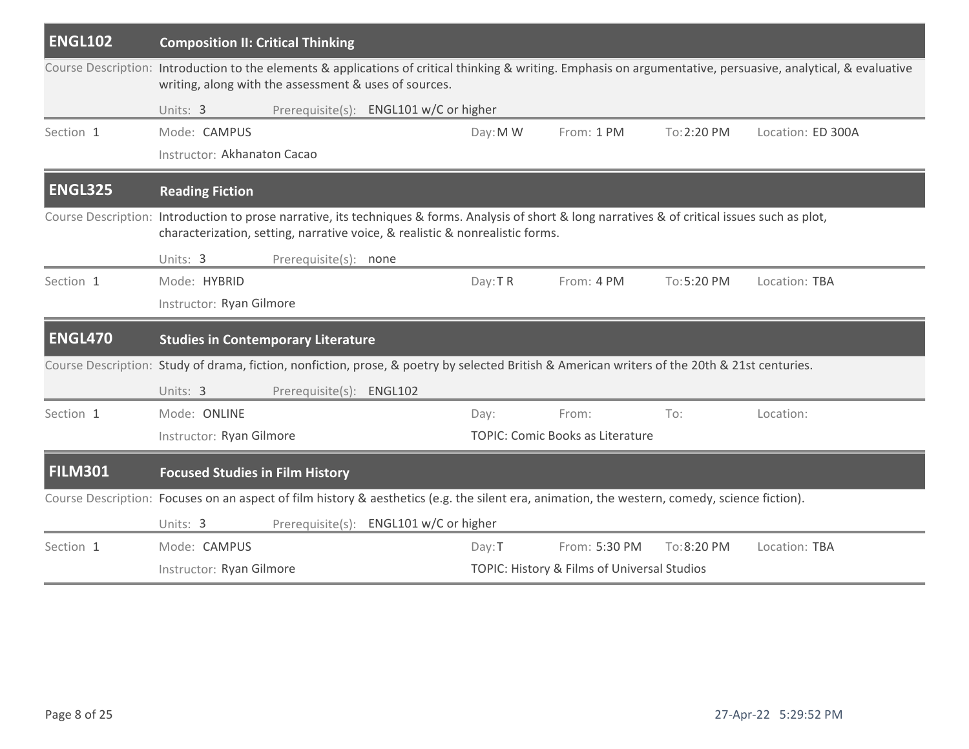| <b>ENGL102</b> | <b>Composition II: Critical Thinking</b>                                                                                                                                                                                             |          |                                             |             |                   |  |  |  |  |  |  |
|----------------|--------------------------------------------------------------------------------------------------------------------------------------------------------------------------------------------------------------------------------------|----------|---------------------------------------------|-------------|-------------------|--|--|--|--|--|--|
|                | Course Description: Introduction to the elements & applications of critical thinking & writing. Emphasis on argumentative, persuasive, analytical, & evaluative<br>writing, along with the assessment & uses of sources.             |          |                                             |             |                   |  |  |  |  |  |  |
|                | Prerequisite(s): ENGL101 w/C or higher<br>Units: 3                                                                                                                                                                                   |          |                                             |             |                   |  |  |  |  |  |  |
| Section 1      | Mode: CAMPUS                                                                                                                                                                                                                         | Day: M W | From: 1 PM                                  | To: 2:20 PM | Location: ED 300A |  |  |  |  |  |  |
|                | Instructor: Akhanaton Cacao                                                                                                                                                                                                          |          |                                             |             |                   |  |  |  |  |  |  |
| <b>ENGL325</b> | <b>Reading Fiction</b>                                                                                                                                                                                                               |          |                                             |             |                   |  |  |  |  |  |  |
|                | Course Description: Introduction to prose narrative, its techniques & forms. Analysis of short & long narratives & of critical issues such as plot,<br>characterization, setting, narrative voice, & realistic & nonrealistic forms. |          |                                             |             |                   |  |  |  |  |  |  |
|                | Units: 3<br>Prerequisite(s): none                                                                                                                                                                                                    |          |                                             |             |                   |  |  |  |  |  |  |
| Section 1      | Mode: HYBRID                                                                                                                                                                                                                         | Day: TR  | From: 4 PM                                  | To: 5:20 PM | Location: TBA     |  |  |  |  |  |  |
|                | Instructor: Ryan Gilmore                                                                                                                                                                                                             |          |                                             |             |                   |  |  |  |  |  |  |
| <b>ENGL470</b> | <b>Studies in Contemporary Literature</b>                                                                                                                                                                                            |          |                                             |             |                   |  |  |  |  |  |  |
|                | Course Description: Study of drama, fiction, nonfiction, prose, & poetry by selected British & American writers of the 20th & 21st centuries.                                                                                        |          |                                             |             |                   |  |  |  |  |  |  |
|                | Prerequisite(s): ENGL102<br>Units: 3                                                                                                                                                                                                 |          |                                             |             |                   |  |  |  |  |  |  |
| Section 1      | Mode: ONLINE                                                                                                                                                                                                                         | Day:     | From:                                       | To:         | Location:         |  |  |  |  |  |  |
|                | Instructor: Ryan Gilmore                                                                                                                                                                                                             |          | <b>TOPIC: Comic Books as Literature</b>     |             |                   |  |  |  |  |  |  |
| <b>FILM301</b> | <b>Focused Studies in Film History</b>                                                                                                                                                                                               |          |                                             |             |                   |  |  |  |  |  |  |
|                | Course Description: Focuses on an aspect of film history & aesthetics (e.g. the silent era, animation, the western, comedy, science fiction).                                                                                        |          |                                             |             |                   |  |  |  |  |  |  |
|                | Prerequisite(s): ENGL101 w/C or higher<br>Units: 3                                                                                                                                                                                   |          |                                             |             |                   |  |  |  |  |  |  |
| Section 1      | Mode: CAMPUS                                                                                                                                                                                                                         | Day: T   | From: 5:30 PM                               | To:8:20 PM  | Location: TBA     |  |  |  |  |  |  |
|                | Instructor: Ryan Gilmore                                                                                                                                                                                                             |          | TOPIC: History & Films of Universal Studios |             |                   |  |  |  |  |  |  |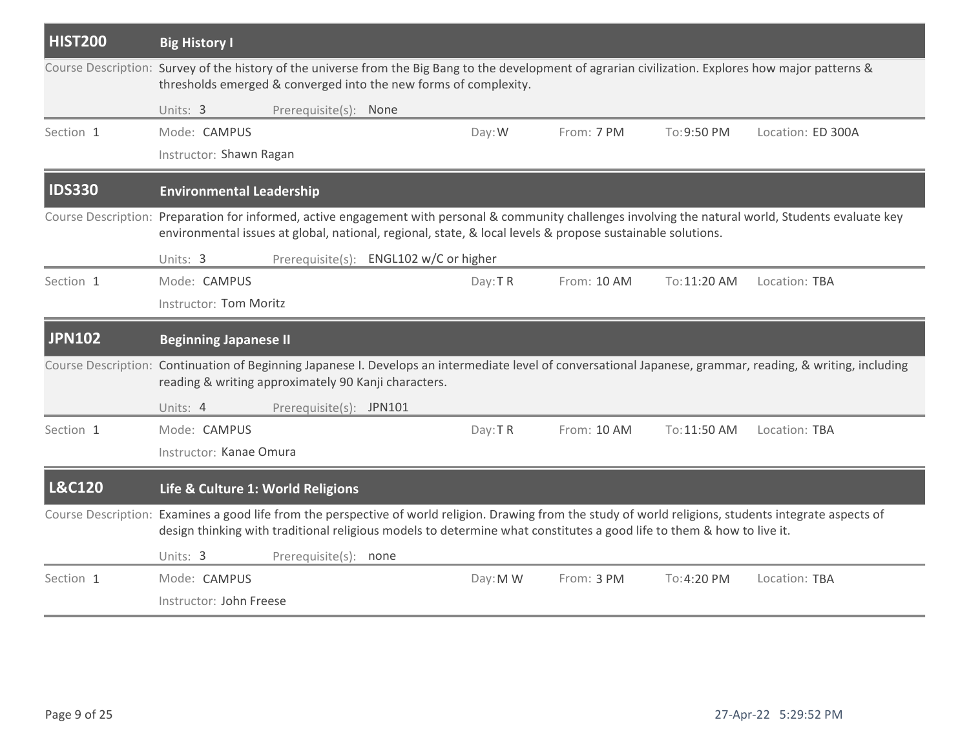| <b>HIST200</b>    | <b>Big History I</b>                                                                                                  |                                        |          |             |              |                                                                                                                                                             |
|-------------------|-----------------------------------------------------------------------------------------------------------------------|----------------------------------------|----------|-------------|--------------|-------------------------------------------------------------------------------------------------------------------------------------------------------------|
|                   | thresholds emerged & converged into the new forms of complexity.                                                      |                                        |          |             |              | Course Description: Survey of the history of the universe from the Big Bang to the development of agrarian civilization. Explores how major patterns &      |
|                   | Units: 3                                                                                                              | Prerequisite(s): None                  |          |             |              |                                                                                                                                                             |
| Section 1         | Mode: CAMPUS                                                                                                          |                                        | Day: W   | From: 7 PM  | To:9:50 PM   | Location: ED 300A                                                                                                                                           |
|                   | Instructor: Shawn Ragan                                                                                               |                                        |          |             |              |                                                                                                                                                             |
| <b>IDS330</b>     | <b>Environmental Leadership</b>                                                                                       |                                        |          |             |              |                                                                                                                                                             |
|                   | environmental issues at global, national, regional, state, & local levels & propose sustainable solutions.            |                                        |          |             |              | Course Description: Preparation for informed, active engagement with personal & community challenges involving the natural world, Students evaluate key     |
|                   | Units: 3                                                                                                              | Prerequisite(s): ENGL102 w/C or higher |          |             |              |                                                                                                                                                             |
| Section 1         | Mode: CAMPUS                                                                                                          |                                        | Day: TR  | From: 10 AM | To: 11:20 AM | Location: TBA                                                                                                                                               |
|                   | Instructor: Tom Moritz                                                                                                |                                        |          |             |              |                                                                                                                                                             |
|                   |                                                                                                                       |                                        |          |             |              |                                                                                                                                                             |
| <b>JPN102</b>     | <b>Beginning Japanese II</b>                                                                                          |                                        |          |             |              |                                                                                                                                                             |
|                   | reading & writing approximately 90 Kanji characters.                                                                  |                                        |          |             |              | Course Description: Continuation of Beginning Japanese I. Develops an intermediate level of conversational Japanese, grammar, reading, & writing, including |
|                   | Units: 4                                                                                                              | Prerequisite(s): JPN101                |          |             |              |                                                                                                                                                             |
| Section 1         | Mode: CAMPUS                                                                                                          |                                        | Day: TR  | From: 10 AM | To: 11:50 AM | Location: TBA                                                                                                                                               |
|                   | Instructor: Kanae Omura                                                                                               |                                        |          |             |              |                                                                                                                                                             |
| <b>L&amp;C120</b> | Life & Culture 1: World Religions                                                                                     |                                        |          |             |              |                                                                                                                                                             |
|                   | design thinking with traditional religious models to determine what constitutes a good life to them & how to live it. |                                        |          |             |              | Course Description: Examines a good life from the perspective of world religion. Drawing from the study of world religions, students integrate aspects of   |
|                   | Units: 3                                                                                                              | Prerequisite(s): none                  |          |             |              |                                                                                                                                                             |
| Section 1         | Mode: CAMPUS                                                                                                          |                                        | Day: M W | From: 3 PM  | To: 4:20 PM  | Location: TBA                                                                                                                                               |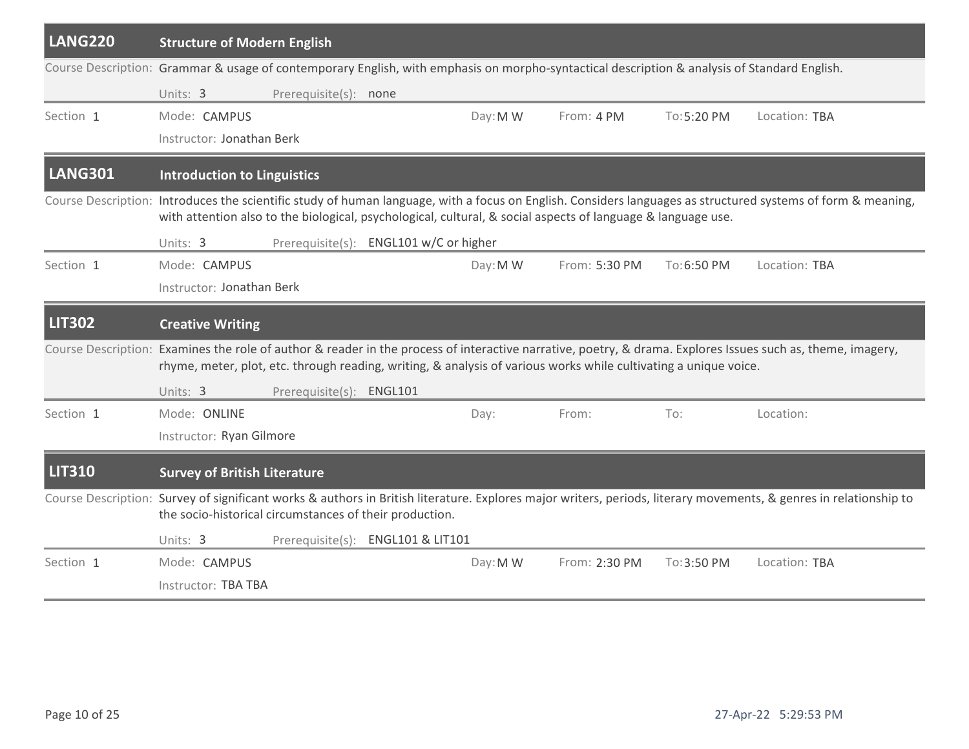| LANG220                                                                                                                                      | <b>Structure of Modern English</b>                      |                          |                                        |          |                                                                                                                  |             |                                                                                                                                                                   |
|----------------------------------------------------------------------------------------------------------------------------------------------|---------------------------------------------------------|--------------------------|----------------------------------------|----------|------------------------------------------------------------------------------------------------------------------|-------------|-------------------------------------------------------------------------------------------------------------------------------------------------------------------|
| Course Description: Grammar & usage of contemporary English, with emphasis on morpho-syntactical description & analysis of Standard English. |                                                         |                          |                                        |          |                                                                                                                  |             |                                                                                                                                                                   |
|                                                                                                                                              | Units: 3                                                | Prerequisite(s): none    |                                        |          |                                                                                                                  |             |                                                                                                                                                                   |
| Section 1                                                                                                                                    | Mode: CAMPUS                                            |                          |                                        | Day: M W | From: 4 PM                                                                                                       | To:5:20 PM  | Location: TBA                                                                                                                                                     |
|                                                                                                                                              | Instructor: Jonathan Berk                               |                          |                                        |          |                                                                                                                  |             |                                                                                                                                                                   |
| LANG301                                                                                                                                      | <b>Introduction to Linguistics</b>                      |                          |                                        |          |                                                                                                                  |             |                                                                                                                                                                   |
|                                                                                                                                              |                                                         |                          |                                        |          | with attention also to the biological, psychological, cultural, & social aspects of language & language use.     |             | Course Description: Introduces the scientific study of human language, with a focus on English. Considers languages as structured systems of form & meaning,      |
|                                                                                                                                              | Units: 3                                                |                          | Prerequisite(s): ENGL101 w/C or higher |          |                                                                                                                  |             |                                                                                                                                                                   |
| Section 1                                                                                                                                    | Mode: CAMPUS                                            |                          |                                        | Day: M W | From: 5:30 PM                                                                                                    | To:6:50 PM  | Location: TBA                                                                                                                                                     |
|                                                                                                                                              | Instructor: Jonathan Berk                               |                          |                                        |          |                                                                                                                  |             |                                                                                                                                                                   |
| <b>LIT302</b>                                                                                                                                | <b>Creative Writing</b>                                 |                          |                                        |          |                                                                                                                  |             |                                                                                                                                                                   |
|                                                                                                                                              |                                                         |                          |                                        |          | rhyme, meter, plot, etc. through reading, writing, & analysis of various works while cultivating a unique voice. |             | Course Description: Examines the role of author & reader in the process of interactive narrative, poetry, & drama. Explores Issues such as, theme, imagery,       |
|                                                                                                                                              | Units: 3                                                | Prerequisite(s): ENGL101 |                                        |          |                                                                                                                  |             |                                                                                                                                                                   |
| Section 1                                                                                                                                    | Mode: ONLINE                                            |                          |                                        | Day:     | From:                                                                                                            | To:         | Location:                                                                                                                                                         |
|                                                                                                                                              | Instructor: Ryan Gilmore                                |                          |                                        |          |                                                                                                                  |             |                                                                                                                                                                   |
| <b>LIT310</b>                                                                                                                                | <b>Survey of British Literature</b>                     |                          |                                        |          |                                                                                                                  |             |                                                                                                                                                                   |
|                                                                                                                                              | the socio-historical circumstances of their production. |                          |                                        |          |                                                                                                                  |             | Course Description: Survey of significant works & authors in British literature. Explores major writers, periods, literary movements, & genres in relationship to |
|                                                                                                                                              | Units: 3                                                |                          | Prerequisite(s): ENGL101 & LIT101      |          |                                                                                                                  |             |                                                                                                                                                                   |
| Section 1                                                                                                                                    | Mode: CAMPUS                                            |                          |                                        | Day: M W | From: 2:30 PM                                                                                                    | To: 3:50 PM | Location: TBA                                                                                                                                                     |
|                                                                                                                                              | Instructor: TBA TBA                                     |                          |                                        |          |                                                                                                                  |             |                                                                                                                                                                   |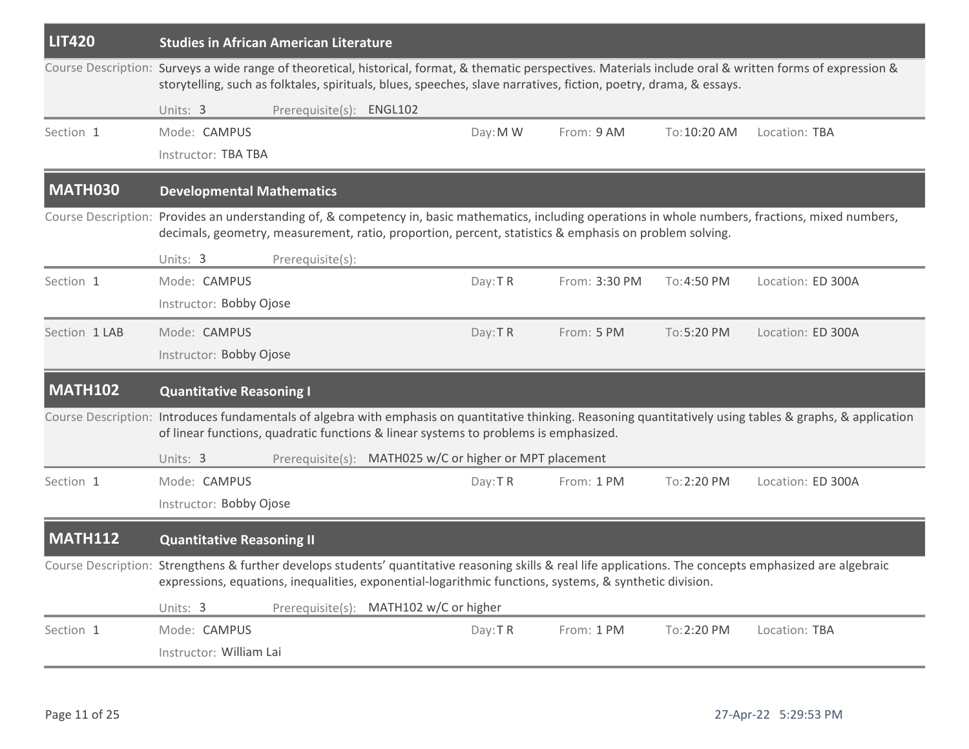| <b>LIT420</b>  | <b>Studies in African American Literature</b>                                        |                                                         |          |                                                                                                                   |              |                                                                                                                                                              |
|----------------|--------------------------------------------------------------------------------------|---------------------------------------------------------|----------|-------------------------------------------------------------------------------------------------------------------|--------------|--------------------------------------------------------------------------------------------------------------------------------------------------------------|
|                |                                                                                      |                                                         |          | storytelling, such as folktales, spirituals, blues, speeches, slave narratives, fiction, poetry, drama, & essays. |              | Course Description: Surveys a wide range of theoretical, historical, format, & thematic perspectives. Materials include oral & written forms of expression & |
|                | Units: 3                                                                             | Prerequisite(s): ENGL102                                |          |                                                                                                                   |              |                                                                                                                                                              |
| Section 1      | Mode: CAMPUS                                                                         |                                                         | Day: M W | From: 9 AM                                                                                                        | To: 10:20 AM | Location: TBA                                                                                                                                                |
|                | Instructor: TBA TBA                                                                  |                                                         |          |                                                                                                                   |              |                                                                                                                                                              |
| MATH030        | <b>Developmental Mathematics</b>                                                     |                                                         |          |                                                                                                                   |              |                                                                                                                                                              |
|                |                                                                                      |                                                         |          | decimals, geometry, measurement, ratio, proportion, percent, statistics & emphasis on problem solving.            |              | Course Description: Provides an understanding of, & competency in, basic mathematics, including operations in whole numbers, fractions, mixed numbers,       |
|                | Units: 3                                                                             | Prerequisite(s):                                        |          |                                                                                                                   |              |                                                                                                                                                              |
| Section 1      | Mode: CAMPUS                                                                         |                                                         | Day: TR  | From: 3:30 PM                                                                                                     | To: 4:50 PM  | Location: ED 300A                                                                                                                                            |
|                | Instructor: Bobby Ojose                                                              |                                                         |          |                                                                                                                   |              |                                                                                                                                                              |
| Section 1 LAB  | Mode: CAMPUS                                                                         |                                                         | Day: TR  | From: 5 PM                                                                                                        | To: 5:20 PM  | Location: ED 300A                                                                                                                                            |
|                | Instructor: Bobby Ojose                                                              |                                                         |          |                                                                                                                   |              |                                                                                                                                                              |
| <b>MATH102</b> | <b>Quantitative Reasoning I</b>                                                      |                                                         |          |                                                                                                                   |              |                                                                                                                                                              |
|                | of linear functions, quadratic functions & linear systems to problems is emphasized. |                                                         |          |                                                                                                                   |              | Course Description: Introduces fundamentals of algebra with emphasis on quantitative thinking. Reasoning quantitatively using tables & graphs, & application |
|                | Units: 3                                                                             | Prerequisite(s): MATH025 w/C or higher or MPT placement |          |                                                                                                                   |              |                                                                                                                                                              |
| Section 1      | Mode: CAMPUS                                                                         |                                                         | Day: TR  | From: 1 PM                                                                                                        | To: 2:20 PM  | Location: ED 300A                                                                                                                                            |
|                | Instructor: Bobby Ojose                                                              |                                                         |          |                                                                                                                   |              |                                                                                                                                                              |
| <b>MATH112</b> | <b>Quantitative Reasoning II</b>                                                     |                                                         |          |                                                                                                                   |              |                                                                                                                                                              |
|                |                                                                                      |                                                         |          | expressions, equations, inequalities, exponential-logarithmic functions, systems, & synthetic division.           |              | Course Description: Strengthens & further develops students' quantitative reasoning skills & real life applications. The concepts emphasized are algebraic   |
|                | Units: 3                                                                             | Prerequisite(s): MATH102 w/C or higher                  |          |                                                                                                                   |              |                                                                                                                                                              |
| Section 1      | Mode: CAMPUS                                                                         |                                                         | Day: TR  | From: 1 PM                                                                                                        | To: 2:20 PM  | Location: TBA                                                                                                                                                |
|                | Instructor: William Lai                                                              |                                                         |          |                                                                                                                   |              |                                                                                                                                                              |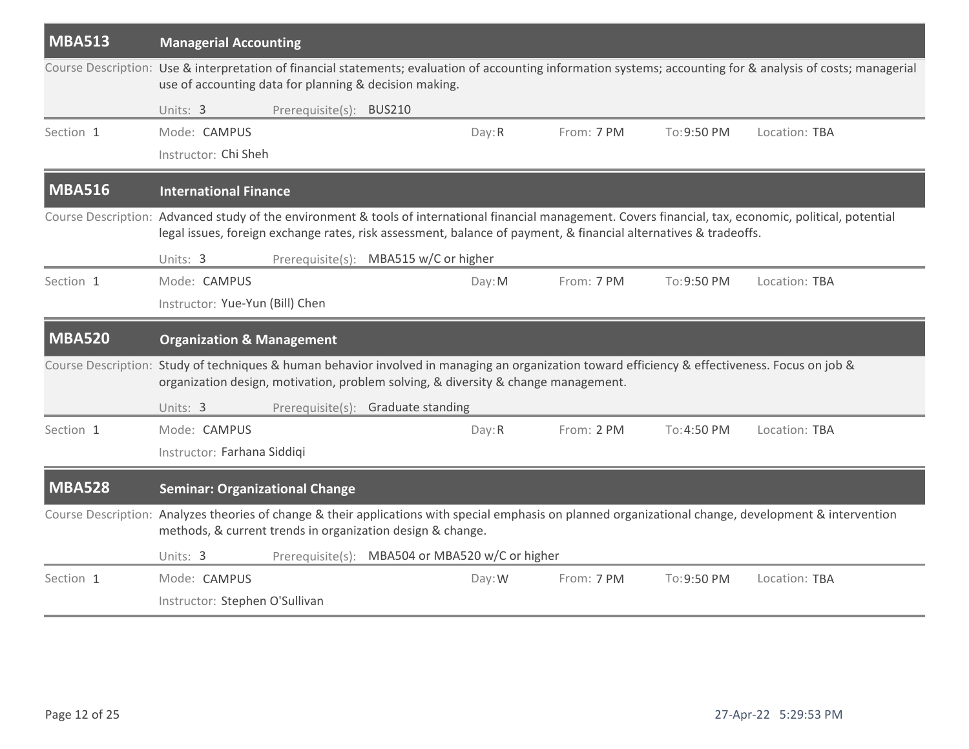| <b>MBA513</b> | <b>Managerial Accounting</b>                                                                                                                                                                                                          |                         |                                                 |        |            |             |                                                                                                                                                                |
|---------------|---------------------------------------------------------------------------------------------------------------------------------------------------------------------------------------------------------------------------------------|-------------------------|-------------------------------------------------|--------|------------|-------------|----------------------------------------------------------------------------------------------------------------------------------------------------------------|
|               | use of accounting data for planning & decision making.                                                                                                                                                                                |                         |                                                 |        |            |             | Course Description: Use & interpretation of financial statements; evaluation of accounting information systems; accounting for & analysis of costs; managerial |
|               | Units: 3                                                                                                                                                                                                                              | Prerequisite(s): BUS210 |                                                 |        |            |             |                                                                                                                                                                |
| Section 1     | Mode: CAMPUS                                                                                                                                                                                                                          |                         |                                                 | Day: R | From: 7 PM | To:9:50 PM  | Location: TBA                                                                                                                                                  |
|               | Instructor: Chi Sheh                                                                                                                                                                                                                  |                         |                                                 |        |            |             |                                                                                                                                                                |
| <b>MBA516</b> | <b>International Finance</b>                                                                                                                                                                                                          |                         |                                                 |        |            |             |                                                                                                                                                                |
|               | legal issues, foreign exchange rates, risk assessment, balance of payment, & financial alternatives & tradeoffs.                                                                                                                      |                         |                                                 |        |            |             | Course Description: Advanced study of the environment & tools of international financial management. Covers financial, tax, economic, political, potential     |
|               | Units: 3                                                                                                                                                                                                                              |                         | Prerequisite(s): MBA515 w/C or higher           |        |            |             |                                                                                                                                                                |
| Section 1     | Mode: CAMPUS                                                                                                                                                                                                                          |                         |                                                 | Day: M | From: 7 PM | To: 9:50 PM | Location: TBA                                                                                                                                                  |
|               | Instructor: Yue-Yun (Bill) Chen                                                                                                                                                                                                       |                         |                                                 |        |            |             |                                                                                                                                                                |
| <b>MBA520</b> | <b>Organization &amp; Management</b>                                                                                                                                                                                                  |                         |                                                 |        |            |             |                                                                                                                                                                |
|               | Course Description: Study of techniques & human behavior involved in managing an organization toward efficiency & effectiveness. Focus on job &<br>organization design, motivation, problem solving, & diversity & change management. |                         |                                                 |        |            |             |                                                                                                                                                                |
|               | Units: 3                                                                                                                                                                                                                              |                         | Prerequisite(s): Graduate standing              |        |            |             |                                                                                                                                                                |
| Section 1     | Mode: CAMPUS                                                                                                                                                                                                                          |                         |                                                 | Day: R | From: 2 PM | To: 4:50 PM | Location: TBA                                                                                                                                                  |
|               | Instructor: Farhana Siddiqi                                                                                                                                                                                                           |                         |                                                 |        |            |             |                                                                                                                                                                |
| <b>MBA528</b> | <b>Seminar: Organizational Change</b>                                                                                                                                                                                                 |                         |                                                 |        |            |             |                                                                                                                                                                |
|               | methods, & current trends in organization design & change.                                                                                                                                                                            |                         |                                                 |        |            |             | Course Description: Analyzes theories of change & their applications with special emphasis on planned organizational change, development & intervention        |
|               | Units: 3                                                                                                                                                                                                                              |                         | Prerequisite(s): MBA504 or MBA520 w/C or higher |        |            |             |                                                                                                                                                                |
| Section 1     | Mode: CAMPUS                                                                                                                                                                                                                          |                         |                                                 | Day: W | From: 7 PM | To: 9:50 PM | Location: TBA                                                                                                                                                  |
|               | Instructor: Stephen O'Sullivan                                                                                                                                                                                                        |                         |                                                 |        |            |             |                                                                                                                                                                |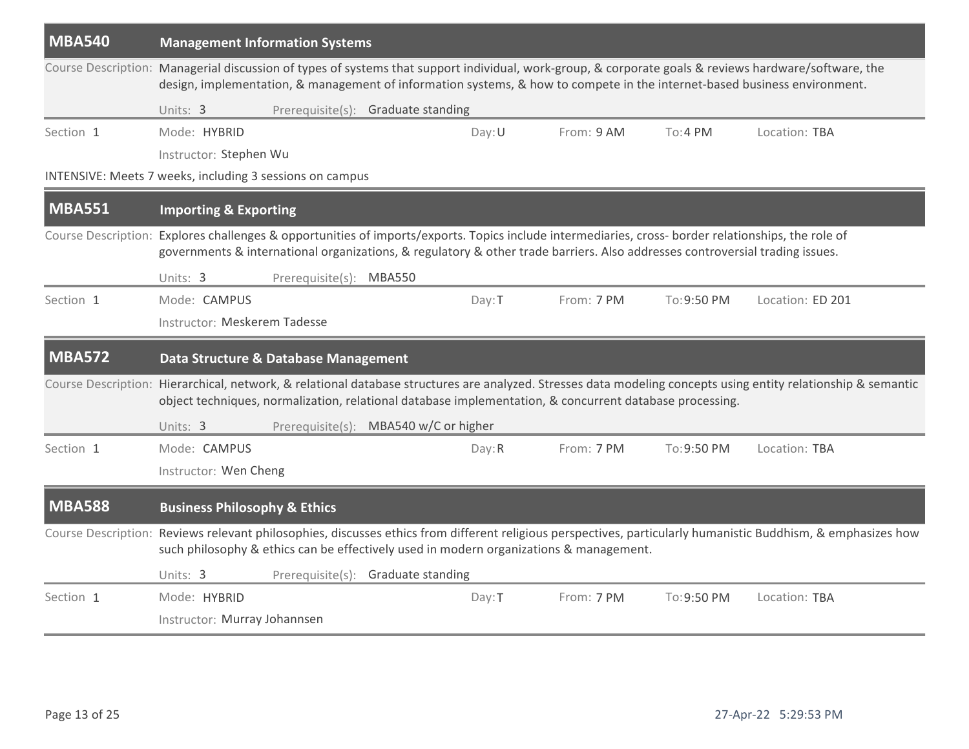| <b>MBA540</b> | <b>Management Information Systems</b>                                                                                                                                                                                                                                                                                                |        |            |             |                  |  |  |  |  |  |
|---------------|--------------------------------------------------------------------------------------------------------------------------------------------------------------------------------------------------------------------------------------------------------------------------------------------------------------------------------------|--------|------------|-------------|------------------|--|--|--|--|--|
|               | Course Description: Managerial discussion of types of systems that support individual, work-group, & corporate goals & reviews hardware/software, the<br>design, implementation, & management of information systems, & how to compete in the internet-based business environment.<br>Units: 3<br>Prerequisite(s): Graduate standing |        |            |             |                  |  |  |  |  |  |
|               |                                                                                                                                                                                                                                                                                                                                      |        |            |             |                  |  |  |  |  |  |
| Section 1     | Mode: HYBRID                                                                                                                                                                                                                                                                                                                         | Day: U | From: 9 AM | To:4PM      | Location: TBA    |  |  |  |  |  |
|               | Instructor: Stephen Wu                                                                                                                                                                                                                                                                                                               |        |            |             |                  |  |  |  |  |  |
|               | INTENSIVE: Meets 7 weeks, including 3 sessions on campus                                                                                                                                                                                                                                                                             |        |            |             |                  |  |  |  |  |  |
| <b>MBA551</b> | <b>Importing &amp; Exporting</b>                                                                                                                                                                                                                                                                                                     |        |            |             |                  |  |  |  |  |  |
|               | Course Description: Explores challenges & opportunities of imports/exports. Topics include intermediaries, cross- border relationships, the role of<br>governments & international organizations, & regulatory & other trade barriers. Also addresses controversial trading issues.                                                  |        |            |             |                  |  |  |  |  |  |
|               | Units: 3<br>Prerequisite(s): MBA550                                                                                                                                                                                                                                                                                                  |        |            |             |                  |  |  |  |  |  |
| Section 1     | Mode: CAMPUS                                                                                                                                                                                                                                                                                                                         | Day: T | From: 7 PM | To: 9:50 PM | Location: ED 201 |  |  |  |  |  |
|               | Instructor: Meskerem Tadesse                                                                                                                                                                                                                                                                                                         |        |            |             |                  |  |  |  |  |  |
| <b>MBA572</b> | Data Structure & Database Management                                                                                                                                                                                                                                                                                                 |        |            |             |                  |  |  |  |  |  |
|               | Course Description: Hierarchical, network, & relational database structures are analyzed. Stresses data modeling concepts using entity relationship & semantic<br>object techniques, normalization, relational database implementation, & concurrent database processing.                                                            |        |            |             |                  |  |  |  |  |  |
|               | Prerequisite(s): MBA540 w/C or higher<br>Units: 3                                                                                                                                                                                                                                                                                    |        |            |             |                  |  |  |  |  |  |
| Section 1     | Mode: CAMPUS                                                                                                                                                                                                                                                                                                                         | Day:R  | From: 7 PM | To: 9:50 PM | Location: TBA    |  |  |  |  |  |
|               | Instructor: Wen Cheng                                                                                                                                                                                                                                                                                                                |        |            |             |                  |  |  |  |  |  |
| <b>MBA588</b> | <b>Business Philosophy &amp; Ethics</b>                                                                                                                                                                                                                                                                                              |        |            |             |                  |  |  |  |  |  |
|               | Course Description: Reviews relevant philosophies, discusses ethics from different religious perspectives, particularly humanistic Buddhism, & emphasizes how<br>such philosophy & ethics can be effectively used in modern organizations & management.                                                                              |        |            |             |                  |  |  |  |  |  |
|               | Units: 3<br>Prerequisite(s): Graduate standing                                                                                                                                                                                                                                                                                       |        |            |             |                  |  |  |  |  |  |
| Section 1     | Mode: HYBRID                                                                                                                                                                                                                                                                                                                         | Day: T | From: 7 PM | To: 9:50 PM | Location: TBA    |  |  |  |  |  |
|               | Instructor: Murray Johannsen                                                                                                                                                                                                                                                                                                         |        |            |             |                  |  |  |  |  |  |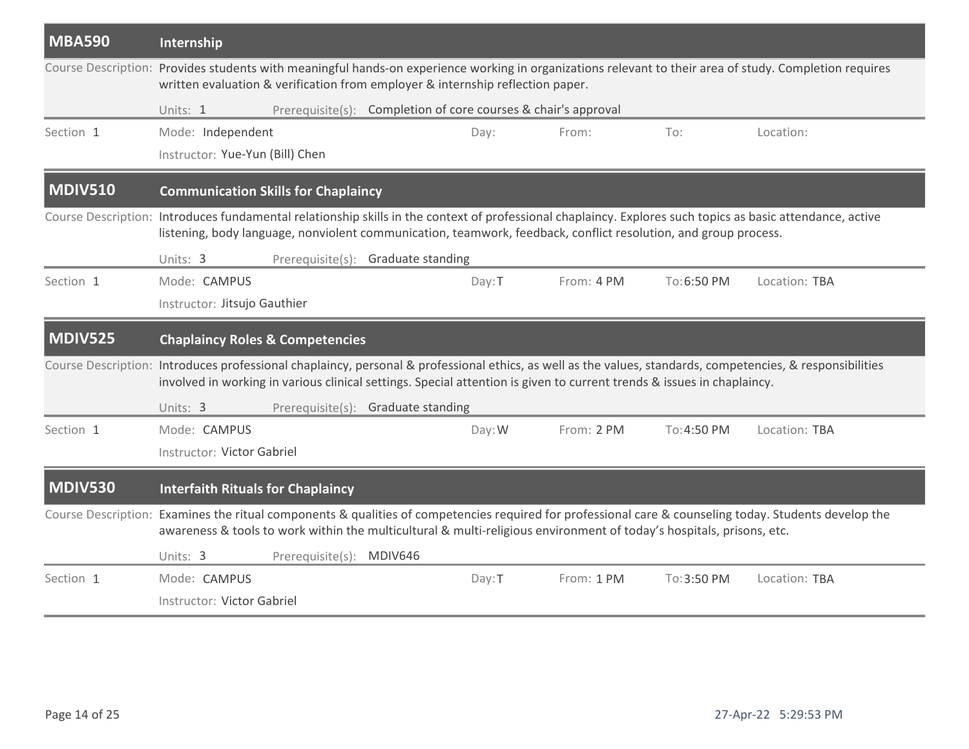| <b>MBA590</b>  | Internship                                                                                                                                                                                                                                                                           |        |            |             |               |  |  |  |  |  |  |
|----------------|--------------------------------------------------------------------------------------------------------------------------------------------------------------------------------------------------------------------------------------------------------------------------------------|--------|------------|-------------|---------------|--|--|--|--|--|--|
|                | Course Description: Provides students with meaningful hands-on experience working in organizations relevant to their area of study. Completion requires<br>written evaluation & verification from employer & internship reflection paper.                                            |        |            |             |               |  |  |  |  |  |  |
|                | Prerequisite(s): Completion of core courses & chair's approval<br>Units: 1                                                                                                                                                                                                           |        |            |             |               |  |  |  |  |  |  |
| Section 1      | Mode: Independent                                                                                                                                                                                                                                                                    | Day:   | From:      | To:         | Location:     |  |  |  |  |  |  |
|                | Instructor: Yue-Yun (Bill) Chen                                                                                                                                                                                                                                                      |        |            |             |               |  |  |  |  |  |  |
| <b>MDIV510</b> | <b>Communication Skills for Chaplaincy</b>                                                                                                                                                                                                                                           |        |            |             |               |  |  |  |  |  |  |
|                | Course Description: Introduces fundamental relationship skills in the context of professional chaplaincy. Explores such topics as basic attendance, active<br>listening, body language, nonviolent communication, teamwork, feedback, conflict resolution, and group process.        |        |            |             |               |  |  |  |  |  |  |
|                | Prerequisite(s): Graduate standing<br>Units: 3                                                                                                                                                                                                                                       |        |            |             |               |  |  |  |  |  |  |
| Section 1      | Mode: CAMPUS                                                                                                                                                                                                                                                                         | Day: T | From: 4 PM | To:6:50 PM  | Location: TBA |  |  |  |  |  |  |
|                | Instructor: Jitsujo Gauthier                                                                                                                                                                                                                                                         |        |            |             |               |  |  |  |  |  |  |
|                | <b>Chaplaincy Roles &amp; Competencies</b>                                                                                                                                                                                                                                           |        |            |             |               |  |  |  |  |  |  |
| <b>MDIV525</b> |                                                                                                                                                                                                                                                                                      |        |            |             |               |  |  |  |  |  |  |
|                | Course Description: Introduces professional chaplaincy, personal & professional ethics, as well as the values, standards, competencies, & responsibilities<br>involved in working in various clinical settings. Special attention is given to current trends & issues in chaplaincy. |        |            |             |               |  |  |  |  |  |  |
|                | Units: 3<br>Prerequisite(s): Graduate standing                                                                                                                                                                                                                                       |        |            |             |               |  |  |  |  |  |  |
| Section 1      | Mode: CAMPUS                                                                                                                                                                                                                                                                         | Day: W | From: 2 PM | To: 4:50 PM | Location: TBA |  |  |  |  |  |  |
|                | Instructor: Victor Gabriel                                                                                                                                                                                                                                                           |        |            |             |               |  |  |  |  |  |  |
| <b>MDIV530</b> | <b>Interfaith Rituals for Chaplaincy</b>                                                                                                                                                                                                                                             |        |            |             |               |  |  |  |  |  |  |
|                | Course Description: Examines the ritual components & qualities of competencies required for professional care & counseling today. Students develop the<br>awareness & tools to work within the multicultural & multi-religious environment of today's hospitals, prisons, etc.       |        |            |             |               |  |  |  |  |  |  |
|                | Prerequisite(s): MDIV646<br>Units: 3                                                                                                                                                                                                                                                 |        |            |             |               |  |  |  |  |  |  |
| Section 1      | Mode: CAMPUS                                                                                                                                                                                                                                                                         | Day:T  | From: 1 PM | To:3:50 PM  | Location: TBA |  |  |  |  |  |  |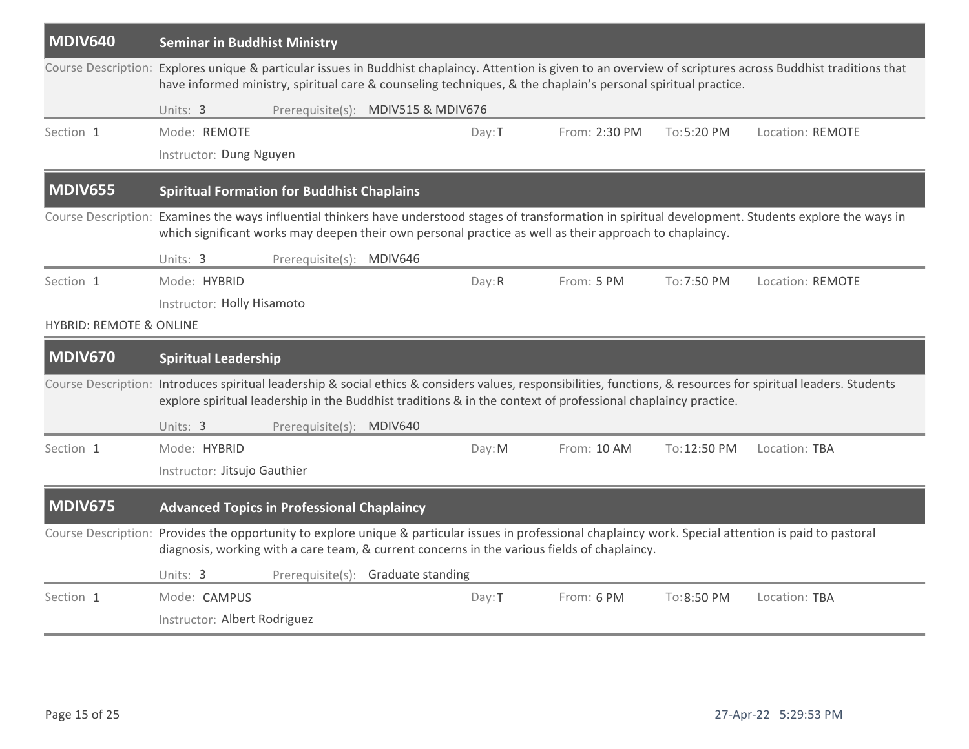| <b>MDIV640</b>                                                                                                                                                                                                                                            | <b>Seminar in Buddhist Ministry</b>                                                                                                                                                                                                                                              |                          |                                    |        |                                                                                                               |              |                                                                                                                                                                  |  |  |
|-----------------------------------------------------------------------------------------------------------------------------------------------------------------------------------------------------------------------------------------------------------|----------------------------------------------------------------------------------------------------------------------------------------------------------------------------------------------------------------------------------------------------------------------------------|--------------------------|------------------------------------|--------|---------------------------------------------------------------------------------------------------------------|--------------|------------------------------------------------------------------------------------------------------------------------------------------------------------------|--|--|
|                                                                                                                                                                                                                                                           | Course Description: Explores unique & particular issues in Buddhist chaplaincy. Attention is given to an overview of scriptures across Buddhist traditions that<br>have informed ministry, spiritual care & counseling techniques, & the chaplain's personal spiritual practice. |                          |                                    |        |                                                                                                               |              |                                                                                                                                                                  |  |  |
|                                                                                                                                                                                                                                                           | Units: 3                                                                                                                                                                                                                                                                         |                          | Prerequisite(s): MDIV515 & MDIV676 |        |                                                                                                               |              |                                                                                                                                                                  |  |  |
| Section 1                                                                                                                                                                                                                                                 | Mode: REMOTE                                                                                                                                                                                                                                                                     |                          |                                    | Day: T | From: 2:30 PM                                                                                                 | To: 5:20 PM  | Location: REMOTE                                                                                                                                                 |  |  |
|                                                                                                                                                                                                                                                           | Instructor: Dung Nguyen                                                                                                                                                                                                                                                          |                          |                                    |        |                                                                                                               |              |                                                                                                                                                                  |  |  |
| <b>MDIV655</b>                                                                                                                                                                                                                                            | <b>Spiritual Formation for Buddhist Chaplains</b>                                                                                                                                                                                                                                |                          |                                    |        |                                                                                                               |              |                                                                                                                                                                  |  |  |
|                                                                                                                                                                                                                                                           | Course Description: Examines the ways influential thinkers have understood stages of transformation in spiritual development. Students explore the ways in<br>which significant works may deepen their own personal practice as well as their approach to chaplaincy.            |                          |                                    |        |                                                                                                               |              |                                                                                                                                                                  |  |  |
|                                                                                                                                                                                                                                                           | Units: 3                                                                                                                                                                                                                                                                         | Prerequisite(s): MDIV646 |                                    |        |                                                                                                               |              |                                                                                                                                                                  |  |  |
| Section 1                                                                                                                                                                                                                                                 | Mode: HYBRID                                                                                                                                                                                                                                                                     |                          |                                    | Day: R | From: 5 PM                                                                                                    | To: 7:50 PM  | Location: REMOTE                                                                                                                                                 |  |  |
|                                                                                                                                                                                                                                                           | Instructor: Holly Hisamoto                                                                                                                                                                                                                                                       |                          |                                    |        |                                                                                                               |              |                                                                                                                                                                  |  |  |
| <b>HYBRID: REMOTE &amp; ONLINE</b>                                                                                                                                                                                                                        |                                                                                                                                                                                                                                                                                  |                          |                                    |        |                                                                                                               |              |                                                                                                                                                                  |  |  |
| <b>MDIV670</b>                                                                                                                                                                                                                                            | <b>Spiritual Leadership</b>                                                                                                                                                                                                                                                      |                          |                                    |        |                                                                                                               |              |                                                                                                                                                                  |  |  |
|                                                                                                                                                                                                                                                           |                                                                                                                                                                                                                                                                                  |                          |                                    |        | explore spiritual leadership in the Buddhist traditions & in the context of professional chaplaincy practice. |              | Course Description: Introduces spiritual leadership & social ethics & considers values, responsibilities, functions, & resources for spiritual leaders. Students |  |  |
|                                                                                                                                                                                                                                                           | Units: 3                                                                                                                                                                                                                                                                         | Prerequisite(s): MDIV640 |                                    |        |                                                                                                               |              |                                                                                                                                                                  |  |  |
| Section 1                                                                                                                                                                                                                                                 | Mode: HYBRID                                                                                                                                                                                                                                                                     |                          |                                    | Day: M | From: 10 AM                                                                                                   | To: 12:50 PM | Location: TBA                                                                                                                                                    |  |  |
|                                                                                                                                                                                                                                                           | Instructor: Jitsujo Gauthier                                                                                                                                                                                                                                                     |                          |                                    |        |                                                                                                               |              |                                                                                                                                                                  |  |  |
| <b>MDIV675</b>                                                                                                                                                                                                                                            | <b>Advanced Topics in Professional Chaplaincy</b>                                                                                                                                                                                                                                |                          |                                    |        |                                                                                                               |              |                                                                                                                                                                  |  |  |
| Course Description: Provides the opportunity to explore unique & particular issues in professional chaplaincy work. Special attention is paid to pastoral<br>diagnosis, working with a care team, & current concerns in the various fields of chaplaincy. |                                                                                                                                                                                                                                                                                  |                          |                                    |        |                                                                                                               |              |                                                                                                                                                                  |  |  |
|                                                                                                                                                                                                                                                           |                                                                                                                                                                                                                                                                                  |                          |                                    |        |                                                                                                               |              |                                                                                                                                                                  |  |  |
|                                                                                                                                                                                                                                                           | Units: 3                                                                                                                                                                                                                                                                         |                          | Prerequisite(s): Graduate standing |        |                                                                                                               |              |                                                                                                                                                                  |  |  |
| Section 1                                                                                                                                                                                                                                                 | Mode: CAMPUS                                                                                                                                                                                                                                                                     |                          |                                    | Day: T | From: 6 PM                                                                                                    | To: 8:50 PM  | Location: TBA                                                                                                                                                    |  |  |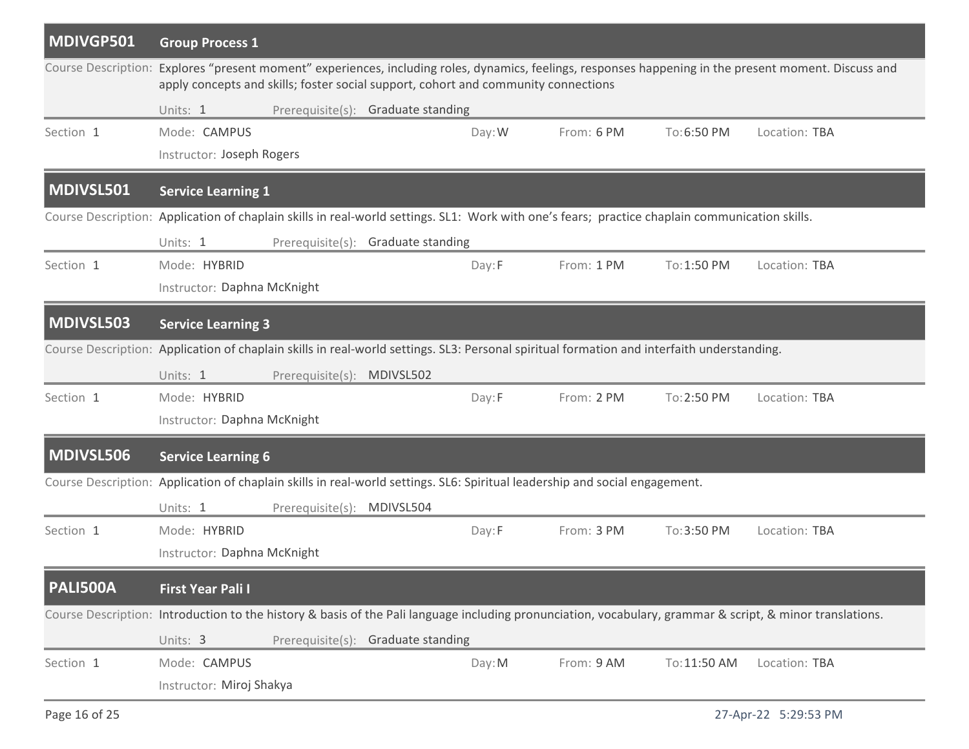| MDIVGP501       | <b>Group Process 1</b>                                                                                                                                                                                                                       |  |  |  |  |  |  |  |  |
|-----------------|----------------------------------------------------------------------------------------------------------------------------------------------------------------------------------------------------------------------------------------------|--|--|--|--|--|--|--|--|
|                 | Course Description: Explores "present moment" experiences, including roles, dynamics, feelings, responses happening in the present moment. Discuss and<br>apply concepts and skills; foster social support, cohort and community connections |  |  |  |  |  |  |  |  |
|                 | Prerequisite(s): Graduate standing<br>Units: 1                                                                                                                                                                                               |  |  |  |  |  |  |  |  |
| Section 1       | From: 6 PM<br>Location: TBA<br>Mode: CAMPUS<br>Day: W<br>To:6:50 PM                                                                                                                                                                          |  |  |  |  |  |  |  |  |
|                 | Instructor: Joseph Rogers                                                                                                                                                                                                                    |  |  |  |  |  |  |  |  |
| MDIVSL501       | <b>Service Learning 1</b>                                                                                                                                                                                                                    |  |  |  |  |  |  |  |  |
|                 | Course Description: Application of chaplain skills in real-world settings. SL1: Work with one's fears; practice chaplain communication skills.                                                                                               |  |  |  |  |  |  |  |  |
|                 | Units: 1<br>Prerequisite(s): Graduate standing                                                                                                                                                                                               |  |  |  |  |  |  |  |  |
| Section 1       | Mode: HYBRID<br>From: 1 PM<br>To: 1:50 PM<br>Location: TBA<br>Day: F                                                                                                                                                                         |  |  |  |  |  |  |  |  |
|                 | Instructor: Daphna McKnight                                                                                                                                                                                                                  |  |  |  |  |  |  |  |  |
| MDIVSL503       | <b>Service Learning 3</b>                                                                                                                                                                                                                    |  |  |  |  |  |  |  |  |
|                 | Course Description: Application of chaplain skills in real-world settings. SL3: Personal spiritual formation and interfaith understanding.                                                                                                   |  |  |  |  |  |  |  |  |
|                 | Units: 1<br>Prerequisite(s): MDIVSL502                                                                                                                                                                                                       |  |  |  |  |  |  |  |  |
| Section 1       | Mode: HYBRID<br>From: 2 PM<br>To: 2:50 PM<br>Location: TBA<br>Day:F                                                                                                                                                                          |  |  |  |  |  |  |  |  |
|                 | Instructor: Daphna McKnight                                                                                                                                                                                                                  |  |  |  |  |  |  |  |  |
| MDIVSL506       | <b>Service Learning 6</b>                                                                                                                                                                                                                    |  |  |  |  |  |  |  |  |
|                 | Course Description: Application of chaplain skills in real-world settings. SL6: Spiritual leadership and social engagement.                                                                                                                  |  |  |  |  |  |  |  |  |
|                 | Prerequisite(s): MDIVSL504<br>Units: 1                                                                                                                                                                                                       |  |  |  |  |  |  |  |  |
| Section 1       | Mode: HYBRID<br>From: 3 PM<br>To: 3:50 PM<br>Location: TBA<br>Day:F                                                                                                                                                                          |  |  |  |  |  |  |  |  |
|                 | Instructor: Daphna McKnight                                                                                                                                                                                                                  |  |  |  |  |  |  |  |  |
| <b>PALI500A</b> | <b>First Year Pali I</b>                                                                                                                                                                                                                     |  |  |  |  |  |  |  |  |
|                 | Course Description: Introduction to the history & basis of the Pali language including pronunciation, vocabulary, grammar & script, & minor translations.                                                                                    |  |  |  |  |  |  |  |  |
|                 | Units: 3<br>Prerequisite(s): Graduate standing                                                                                                                                                                                               |  |  |  |  |  |  |  |  |
| Section 1       | Mode: CAMPUS<br>From: 9 AM<br>Day: M<br>To: 11:50 AM<br>Location: TBA                                                                                                                                                                        |  |  |  |  |  |  |  |  |
|                 | Instructor: Miroj Shakya                                                                                                                                                                                                                     |  |  |  |  |  |  |  |  |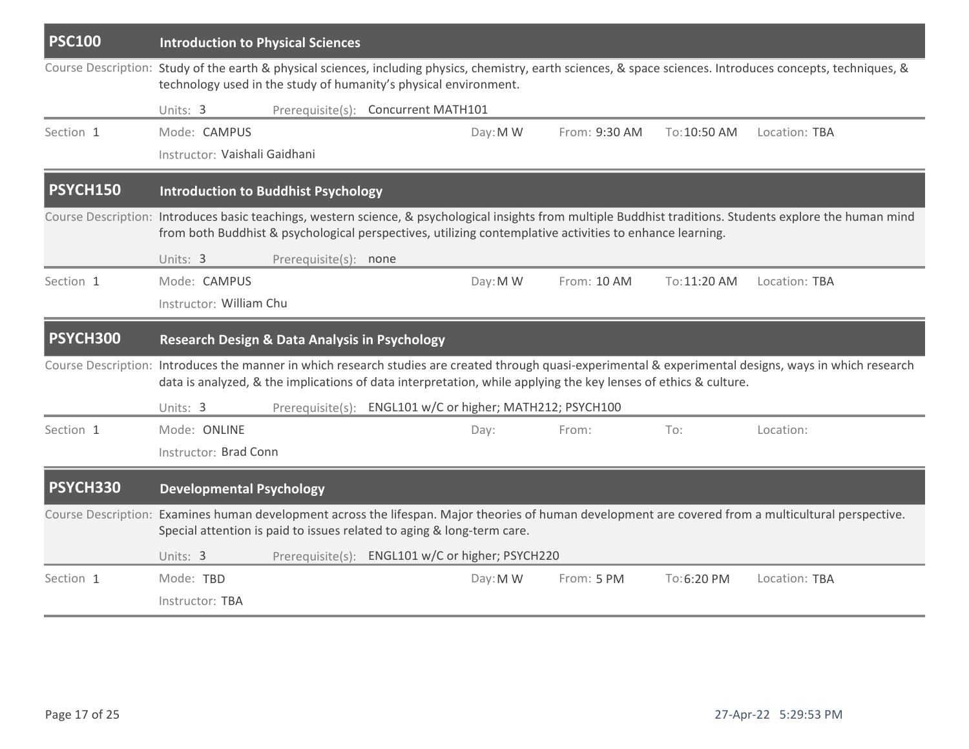| <b>PSC100</b>   | <b>Introduction to Physical Sciences</b>                                                                                                                                                                                                                                 |                       |                                                           |          |                                                                                                                 |              |                                                                                                                                                           |  |  |
|-----------------|--------------------------------------------------------------------------------------------------------------------------------------------------------------------------------------------------------------------------------------------------------------------------|-----------------------|-----------------------------------------------------------|----------|-----------------------------------------------------------------------------------------------------------------|--------------|-----------------------------------------------------------------------------------------------------------------------------------------------------------|--|--|
|                 | Course Description: Study of the earth & physical sciences, including physics, chemistry, earth sciences, & space sciences. Introduces concepts, techniques, &<br>technology used in the study of humanity's physical environment.                                       |                       |                                                           |          |                                                                                                                 |              |                                                                                                                                                           |  |  |
|                 | Units: 3                                                                                                                                                                                                                                                                 |                       | Prerequisite(s): Concurrent MATH101                       |          |                                                                                                                 |              |                                                                                                                                                           |  |  |
| Section 1       | Mode: CAMPUS                                                                                                                                                                                                                                                             |                       |                                                           | Day: M W | From: 9:30 AM                                                                                                   | To: 10:50 AM | Location: TBA                                                                                                                                             |  |  |
|                 | Instructor: Vaishali Gaidhani                                                                                                                                                                                                                                            |                       |                                                           |          |                                                                                                                 |              |                                                                                                                                                           |  |  |
| <b>PSYCH150</b> | <b>Introduction to Buddhist Psychology</b>                                                                                                                                                                                                                               |                       |                                                           |          |                                                                                                                 |              |                                                                                                                                                           |  |  |
|                 | Course Description: Introduces basic teachings, western science, & psychological insights from multiple Buddhist traditions. Students explore the human mind<br>from both Buddhist & psychological perspectives, utilizing contemplative activities to enhance learning. |                       |                                                           |          |                                                                                                                 |              |                                                                                                                                                           |  |  |
|                 | Units: 3                                                                                                                                                                                                                                                                 | Prerequisite(s): none |                                                           |          |                                                                                                                 |              |                                                                                                                                                           |  |  |
| Section 1       | Mode: CAMPUS                                                                                                                                                                                                                                                             |                       |                                                           | Day: M W | From: 10 AM                                                                                                     | To: 11:20 AM | Location: TBA                                                                                                                                             |  |  |
|                 | Instructor: William Chu                                                                                                                                                                                                                                                  |                       |                                                           |          |                                                                                                                 |              |                                                                                                                                                           |  |  |
| PSYCH300        | <b>Research Design &amp; Data Analysis in Psychology</b>                                                                                                                                                                                                                 |                       |                                                           |          |                                                                                                                 |              |                                                                                                                                                           |  |  |
|                 |                                                                                                                                                                                                                                                                          |                       |                                                           |          | data is analyzed, & the implications of data interpretation, while applying the key lenses of ethics & culture. |              | Course Description: Introduces the manner in which research studies are created through quasi-experimental & experimental designs, ways in which research |  |  |
|                 | Units: 3                                                                                                                                                                                                                                                                 |                       | Prerequisite(s): ENGL101 w/C or higher; MATH212; PSYCH100 |          |                                                                                                                 |              |                                                                                                                                                           |  |  |
| Section 1       | Mode: ONLINE                                                                                                                                                                                                                                                             |                       |                                                           | Day:     | From:                                                                                                           | To:          | Location:                                                                                                                                                 |  |  |
|                 | Instructor: Brad Conn                                                                                                                                                                                                                                                    |                       |                                                           |          |                                                                                                                 |              |                                                                                                                                                           |  |  |
| PSYCH330        | <b>Developmental Psychology</b>                                                                                                                                                                                                                                          |                       |                                                           |          |                                                                                                                 |              |                                                                                                                                                           |  |  |
|                 | Special attention is paid to issues related to aging & long-term care.                                                                                                                                                                                                   |                       |                                                           |          |                                                                                                                 |              | Course Description: Examines human development across the lifespan. Major theories of human development are covered from a multicultural perspective.     |  |  |
|                 | Units: 3                                                                                                                                                                                                                                                                 |                       | Prerequisite(s): ENGL101 w/C or higher; PSYCH220          |          |                                                                                                                 |              |                                                                                                                                                           |  |  |
| Section 1       | Mode: TBD                                                                                                                                                                                                                                                                |                       |                                                           | Day: M W | From: 5 PM                                                                                                      | To:6:20 PM   | Location: TBA                                                                                                                                             |  |  |
|                 | Instructor: TBA                                                                                                                                                                                                                                                          |                       |                                                           |          |                                                                                                                 |              |                                                                                                                                                           |  |  |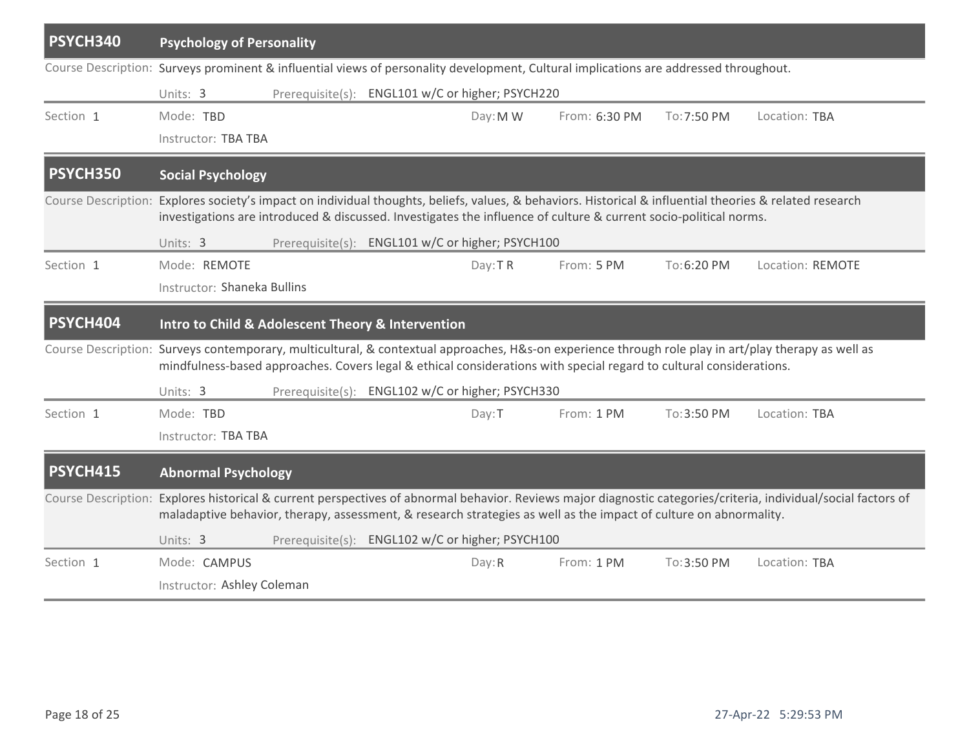| PSYCH340  | <b>Psychology of Personality</b>                                                                                                                                                                                                                                              |  |                                                  |          |                                                                                                                                       |             |                                                                                                                                                                 |  |  |  |
|-----------|-------------------------------------------------------------------------------------------------------------------------------------------------------------------------------------------------------------------------------------------------------------------------------|--|--------------------------------------------------|----------|---------------------------------------------------------------------------------------------------------------------------------------|-------------|-----------------------------------------------------------------------------------------------------------------------------------------------------------------|--|--|--|
|           |                                                                                                                                                                                                                                                                               |  |                                                  |          | Course Description: Surveys prominent & influential views of personality development, Cultural implications are addressed throughout. |             |                                                                                                                                                                 |  |  |  |
|           | Prerequisite(s): ENGL101 w/C or higher; PSYCH220<br>Units: 3                                                                                                                                                                                                                  |  |                                                  |          |                                                                                                                                       |             |                                                                                                                                                                 |  |  |  |
| Section 1 | Mode: TBD                                                                                                                                                                                                                                                                     |  |                                                  | Day: M W | From: 6:30 PM                                                                                                                         | To: 7:50 PM | Location: TBA                                                                                                                                                   |  |  |  |
|           | Instructor: TBA TBA                                                                                                                                                                                                                                                           |  |                                                  |          |                                                                                                                                       |             |                                                                                                                                                                 |  |  |  |
| PSYCH350  | <b>Social Psychology</b>                                                                                                                                                                                                                                                      |  |                                                  |          |                                                                                                                                       |             |                                                                                                                                                                 |  |  |  |
|           | Course Description: Explores society's impact on individual thoughts, beliefs, values, & behaviors. Historical & influential theories & related research<br>investigations are introduced & discussed. Investigates the influence of culture & current socio-political norms. |  |                                                  |          |                                                                                                                                       |             |                                                                                                                                                                 |  |  |  |
|           | Prerequisite(s): ENGL101 w/C or higher; PSYCH100<br>Units: 3                                                                                                                                                                                                                  |  |                                                  |          |                                                                                                                                       |             |                                                                                                                                                                 |  |  |  |
| Section 1 | Mode: REMOTE                                                                                                                                                                                                                                                                  |  |                                                  | Day: TR  | From: 5 PM                                                                                                                            | To:6:20 PM  | Location: REMOTE                                                                                                                                                |  |  |  |
|           | Instructor: Shaneka Bullins                                                                                                                                                                                                                                                   |  |                                                  |          |                                                                                                                                       |             |                                                                                                                                                                 |  |  |  |
| PSYCH404  | Intro to Child & Adolescent Theory & Intervention                                                                                                                                                                                                                             |  |                                                  |          |                                                                                                                                       |             |                                                                                                                                                                 |  |  |  |
|           |                                                                                                                                                                                                                                                                               |  |                                                  |          | mindfulness-based approaches. Covers legal & ethical considerations with special regard to cultural considerations.                   |             | Course Description: Surveys contemporary, multicultural, & contextual approaches, H&s-on experience through role play in art/play therapy as well as            |  |  |  |
|           | Units: 3                                                                                                                                                                                                                                                                      |  | Prerequisite(s): ENGL102 w/C or higher; PSYCH330 |          |                                                                                                                                       |             |                                                                                                                                                                 |  |  |  |
| Section 1 | Mode: TBD                                                                                                                                                                                                                                                                     |  |                                                  | Day: T   | From: 1 PM                                                                                                                            | To: 3:50 PM | Location: TBA                                                                                                                                                   |  |  |  |
|           | Instructor: TBA TBA                                                                                                                                                                                                                                                           |  |                                                  |          |                                                                                                                                       |             |                                                                                                                                                                 |  |  |  |
| PSYCH415  | <b>Abnormal Psychology</b>                                                                                                                                                                                                                                                    |  |                                                  |          |                                                                                                                                       |             |                                                                                                                                                                 |  |  |  |
|           |                                                                                                                                                                                                                                                                               |  |                                                  |          | maladaptive behavior, therapy, assessment, & research strategies as well as the impact of culture on abnormality.                     |             | Course Description: Explores historical & current perspectives of abnormal behavior. Reviews major diagnostic categories/criteria, individual/social factors of |  |  |  |
|           | Units: 3                                                                                                                                                                                                                                                                      |  | Prerequisite(s): ENGL102 w/C or higher; PSYCH100 |          |                                                                                                                                       |             |                                                                                                                                                                 |  |  |  |
| Section 1 | Mode: CAMPUS                                                                                                                                                                                                                                                                  |  |                                                  | Day: R   | From: 1 PM                                                                                                                            | To: 3:50 PM | Location: TBA                                                                                                                                                   |  |  |  |
|           | Instructor: Ashley Coleman                                                                                                                                                                                                                                                    |  |                                                  |          |                                                                                                                                       |             |                                                                                                                                                                 |  |  |  |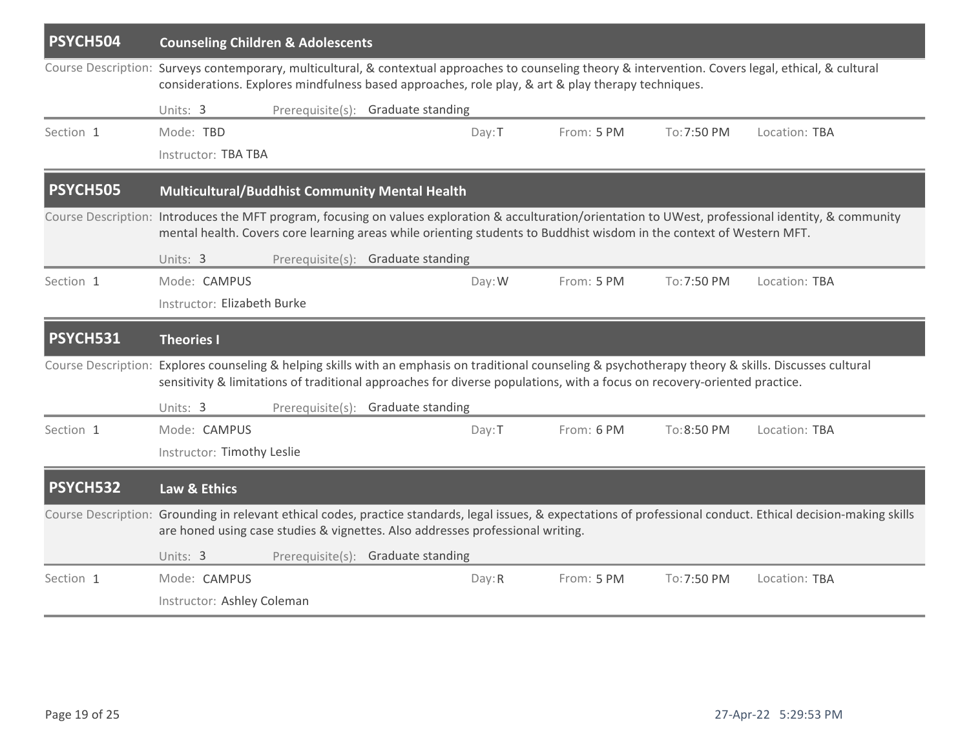| PSYCH504                    | <b>Counseling Children &amp; Adolescents</b>                                                                                                                                                                                                                                    |                            |                                    |        |                                                                                                                          |             |                                                                                                                                                                   |  |  |  |
|-----------------------------|---------------------------------------------------------------------------------------------------------------------------------------------------------------------------------------------------------------------------------------------------------------------------------|----------------------------|------------------------------------|--------|--------------------------------------------------------------------------------------------------------------------------|-------------|-------------------------------------------------------------------------------------------------------------------------------------------------------------------|--|--|--|
|                             | Course Description: Surveys contemporary, multicultural, & contextual approaches to counseling theory & intervention. Covers legal, ethical, & cultural<br>considerations. Explores mindfulness based approaches, role play, & art & play therapy techniques.                   |                            |                                    |        |                                                                                                                          |             |                                                                                                                                                                   |  |  |  |
|                             | Units: 3                                                                                                                                                                                                                                                                        |                            | Prerequisite(s): Graduate standing |        |                                                                                                                          |             |                                                                                                                                                                   |  |  |  |
| Section 1                   | Mode: TBD<br>Instructor: TBA TBA                                                                                                                                                                                                                                                |                            |                                    | Day: T | From: 5 PM                                                                                                               | To: 7:50 PM | Location: TBA                                                                                                                                                     |  |  |  |
| <b>PSYCH505</b>             | Multicultural/Buddhist Community Mental Health                                                                                                                                                                                                                                  |                            |                                    |        |                                                                                                                          |             |                                                                                                                                                                   |  |  |  |
|                             | Course Description: Introduces the MFT program, focusing on values exploration & acculturation/orientation to UWest, professional identity, & community<br>mental health. Covers core learning areas while orienting students to Buddhist wisdom in the context of Western MFT. |                            |                                    |        |                                                                                                                          |             |                                                                                                                                                                   |  |  |  |
|                             | Units: 3                                                                                                                                                                                                                                                                        |                            | Prerequisite(s): Graduate standing |        |                                                                                                                          |             |                                                                                                                                                                   |  |  |  |
| Section 1                   | Mode: CAMPUS                                                                                                                                                                                                                                                                    |                            |                                    | Day: W | From: 5 PM                                                                                                               | To: 7:50 PM | Location: TBA                                                                                                                                                     |  |  |  |
| Instructor: Elizabeth Burke |                                                                                                                                                                                                                                                                                 |                            |                                    |        |                                                                                                                          |             |                                                                                                                                                                   |  |  |  |
| <b>PSYCH531</b>             | <b>Theories I</b>                                                                                                                                                                                                                                                               |                            |                                    |        |                                                                                                                          |             |                                                                                                                                                                   |  |  |  |
|                             |                                                                                                                                                                                                                                                                                 |                            |                                    |        | sensitivity & limitations of traditional approaches for diverse populations, with a focus on recovery-oriented practice. |             | Course Description: Explores counseling & helping skills with an emphasis on traditional counseling & psychotherapy theory & skills. Discusses cultural           |  |  |  |
|                             | Units: 3                                                                                                                                                                                                                                                                        |                            | Prerequisite(s): Graduate standing |        |                                                                                                                          |             |                                                                                                                                                                   |  |  |  |
| Section 1                   | Mode: CAMPUS                                                                                                                                                                                                                                                                    |                            |                                    | Day: T | From: 6 PM                                                                                                               | To: 8:50 PM | Location: TBA                                                                                                                                                     |  |  |  |
|                             |                                                                                                                                                                                                                                                                                 | Instructor: Timothy Leslie |                                    |        |                                                                                                                          |             |                                                                                                                                                                   |  |  |  |
| PSYCH532                    | Law & Ethics                                                                                                                                                                                                                                                                    |                            |                                    |        |                                                                                                                          |             |                                                                                                                                                                   |  |  |  |
|                             | are honed using case studies & vignettes. Also addresses professional writing.                                                                                                                                                                                                  |                            |                                    |        |                                                                                                                          |             | Course Description: Grounding in relevant ethical codes, practice standards, legal issues, & expectations of professional conduct. Ethical decision-making skills |  |  |  |
|                             | Units: 3                                                                                                                                                                                                                                                                        |                            | Prerequisite(s): Graduate standing |        |                                                                                                                          |             |                                                                                                                                                                   |  |  |  |
| Section 1                   | Mode: CAMPUS                                                                                                                                                                                                                                                                    |                            |                                    | Day: R | From: 5 PM                                                                                                               | To: 7:50 PM | Location: TBA                                                                                                                                                     |  |  |  |
|                             | Instructor: Ashley Coleman                                                                                                                                                                                                                                                      |                            |                                    |        |                                                                                                                          |             |                                                                                                                                                                   |  |  |  |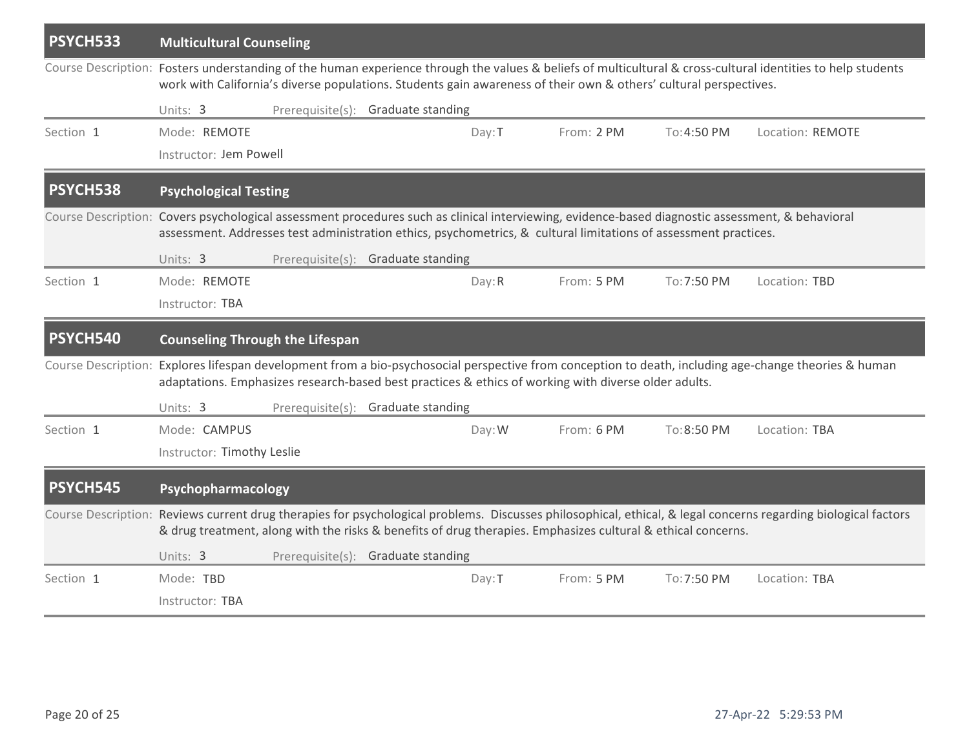| PSYCH533  | <b>Multicultural Counseling</b>                                                                                                                                                                                                                                                   |                                    |  |        |                                                                                                              |             |                                                                                                                                                                |  |  |
|-----------|-----------------------------------------------------------------------------------------------------------------------------------------------------------------------------------------------------------------------------------------------------------------------------------|------------------------------------|--|--------|--------------------------------------------------------------------------------------------------------------|-------------|----------------------------------------------------------------------------------------------------------------------------------------------------------------|--|--|
|           | Course Description: Fosters understanding of the human experience through the values & beliefs of multicultural & cross-cultural identities to help students<br>work with California's diverse populations. Students gain awareness of their own & others' cultural perspectives. |                                    |  |        |                                                                                                              |             |                                                                                                                                                                |  |  |
|           | Units: 3                                                                                                                                                                                                                                                                          | Prerequisite(s): Graduate standing |  |        |                                                                                                              |             |                                                                                                                                                                |  |  |
| Section 1 | Mode: REMOTE                                                                                                                                                                                                                                                                      |                                    |  | Day: T | From: 2 PM                                                                                                   | To: 4:50 PM | Location: REMOTE                                                                                                                                               |  |  |
|           | Instructor: Jem Powell                                                                                                                                                                                                                                                            |                                    |  |        |                                                                                                              |             |                                                                                                                                                                |  |  |
| PSYCH538  | <b>Psychological Testing</b>                                                                                                                                                                                                                                                      |                                    |  |        |                                                                                                              |             |                                                                                                                                                                |  |  |
|           | Course Description: Covers psychological assessment procedures such as clinical interviewing, evidence-based diagnostic assessment, & behavioral<br>assessment. Addresses test administration ethics, psychometrics, & cultural limitations of assessment practices.              |                                    |  |        |                                                                                                              |             |                                                                                                                                                                |  |  |
|           | Units: 3                                                                                                                                                                                                                                                                          | Prerequisite(s): Graduate standing |  |        |                                                                                                              |             |                                                                                                                                                                |  |  |
| Section 1 | Mode: REMOTE                                                                                                                                                                                                                                                                      |                                    |  | Day: R | From: 5 PM                                                                                                   | To: 7:50 PM | Location: TBD                                                                                                                                                  |  |  |
|           | Instructor: TBA                                                                                                                                                                                                                                                                   |                                    |  |        |                                                                                                              |             |                                                                                                                                                                |  |  |
| PSYCH540  | <b>Counseling Through the Lifespan</b>                                                                                                                                                                                                                                            |                                    |  |        |                                                                                                              |             |                                                                                                                                                                |  |  |
|           |                                                                                                                                                                                                                                                                                   |                                    |  |        | adaptations. Emphasizes research-based best practices & ethics of working with diverse older adults.         |             | Course Description: Explores lifespan development from a bio-psychosocial perspective from conception to death, including age-change theories & human          |  |  |
|           | Units: 3                                                                                                                                                                                                                                                                          | Prerequisite(s): Graduate standing |  |        |                                                                                                              |             |                                                                                                                                                                |  |  |
| Section 1 | Mode: CAMPUS                                                                                                                                                                                                                                                                      |                                    |  | Day: W | From: 6 PM                                                                                                   | To:8:50 PM  | Location: TBA                                                                                                                                                  |  |  |
|           | Instructor: Timothy Leslie                                                                                                                                                                                                                                                        |                                    |  |        |                                                                                                              |             |                                                                                                                                                                |  |  |
| PSYCH545  | Psychopharmacology                                                                                                                                                                                                                                                                |                                    |  |        |                                                                                                              |             |                                                                                                                                                                |  |  |
|           |                                                                                                                                                                                                                                                                                   |                                    |  |        | & drug treatment, along with the risks & benefits of drug therapies. Emphasizes cultural & ethical concerns. |             | Course Description: Reviews current drug therapies for psychological problems. Discusses philosophical, ethical, & legal concerns regarding biological factors |  |  |
|           | Units: 3                                                                                                                                                                                                                                                                          | Prerequisite(s): Graduate standing |  |        |                                                                                                              |             |                                                                                                                                                                |  |  |
| Section 1 | Mode: TBD                                                                                                                                                                                                                                                                         |                                    |  | Day: T | From: 5 PM                                                                                                   | To: 7:50 PM | Location: TBA                                                                                                                                                  |  |  |
|           | Instructor: TBA                                                                                                                                                                                                                                                                   |                                    |  |        |                                                                                                              |             |                                                                                                                                                                |  |  |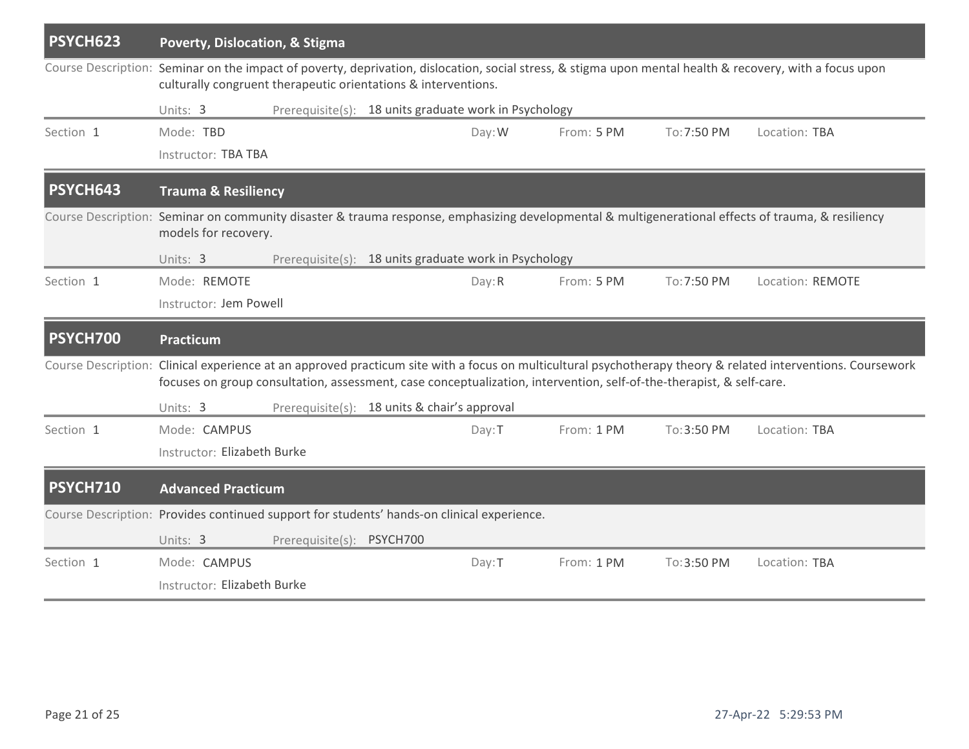| PSYCH623                                                                                                                                                                   | Poverty, Dislocation, & Stigma                                                                                                                                                                                             |                                              |  |        |                                                                                                                      |             |                                                                                                                                                              |  |  |  |
|----------------------------------------------------------------------------------------------------------------------------------------------------------------------------|----------------------------------------------------------------------------------------------------------------------------------------------------------------------------------------------------------------------------|----------------------------------------------|--|--------|----------------------------------------------------------------------------------------------------------------------|-------------|--------------------------------------------------------------------------------------------------------------------------------------------------------------|--|--|--|
|                                                                                                                                                                            | Course Description: Seminar on the impact of poverty, deprivation, dislocation, social stress, & stigma upon mental health & recovery, with a focus upon<br>culturally congruent therapeutic orientations & interventions. |                                              |  |        |                                                                                                                      |             |                                                                                                                                                              |  |  |  |
|                                                                                                                                                                            | Prerequisite(s): 18 units graduate work in Psychology<br>Units: 3                                                                                                                                                          |                                              |  |        |                                                                                                                      |             |                                                                                                                                                              |  |  |  |
| Section 1                                                                                                                                                                  | Mode: TBD                                                                                                                                                                                                                  |                                              |  | Day: W | From: 5 PM                                                                                                           | To:7:50 PM  | Location: TBA                                                                                                                                                |  |  |  |
|                                                                                                                                                                            | Instructor: TBA TBA                                                                                                                                                                                                        |                                              |  |        |                                                                                                                      |             |                                                                                                                                                              |  |  |  |
| PSYCH643                                                                                                                                                                   |                                                                                                                                                                                                                            | <b>Trauma &amp; Resiliency</b>               |  |        |                                                                                                                      |             |                                                                                                                                                              |  |  |  |
| Course Description: Seminar on community disaster & trauma response, emphasizing developmental & multigenerational effects of trauma, & resiliency<br>models for recovery. |                                                                                                                                                                                                                            |                                              |  |        |                                                                                                                      |             |                                                                                                                                                              |  |  |  |
|                                                                                                                                                                            | Prerequisite(s): 18 units graduate work in Psychology<br>Units: 3                                                                                                                                                          |                                              |  |        |                                                                                                                      |             |                                                                                                                                                              |  |  |  |
| Section 1                                                                                                                                                                  | Mode: REMOTE                                                                                                                                                                                                               |                                              |  | Day: R | From: 5 PM                                                                                                           | To: 7:50 PM | Location: REMOTE                                                                                                                                             |  |  |  |
|                                                                                                                                                                            |                                                                                                                                                                                                                            | Instructor: Jem Powell                       |  |        |                                                                                                                      |             |                                                                                                                                                              |  |  |  |
| <b>PSYCH700</b>                                                                                                                                                            | Practicum                                                                                                                                                                                                                  |                                              |  |        |                                                                                                                      |             |                                                                                                                                                              |  |  |  |
|                                                                                                                                                                            |                                                                                                                                                                                                                            |                                              |  |        | focuses on group consultation, assessment, case conceptualization, intervention, self-of-the-therapist, & self-care. |             | Course Description: Clinical experience at an approved practicum site with a focus on multicultural psychotherapy theory & related interventions. Coursework |  |  |  |
|                                                                                                                                                                            | Units: 3                                                                                                                                                                                                                   | Prerequisite(s): 18 units & chair's approval |  |        |                                                                                                                      |             |                                                                                                                                                              |  |  |  |
| Section 1                                                                                                                                                                  | Mode: CAMPUS                                                                                                                                                                                                               |                                              |  | Day: T | From: 1 PM                                                                                                           | To: 3:50 PM | Location: TBA                                                                                                                                                |  |  |  |
|                                                                                                                                                                            | Instructor: Elizabeth Burke                                                                                                                                                                                                |                                              |  |        |                                                                                                                      |             |                                                                                                                                                              |  |  |  |
| <b>PSYCH710</b>                                                                                                                                                            | <b>Advanced Practicum</b>                                                                                                                                                                                                  |                                              |  |        |                                                                                                                      |             |                                                                                                                                                              |  |  |  |
| Course Description: Provides continued support for students' hands-on clinical experience.                                                                                 |                                                                                                                                                                                                                            |                                              |  |        |                                                                                                                      |             |                                                                                                                                                              |  |  |  |
|                                                                                                                                                                            | Units: 3                                                                                                                                                                                                                   | Prerequisite(s): PSYCH700                    |  |        |                                                                                                                      |             |                                                                                                                                                              |  |  |  |
| Section 1                                                                                                                                                                  | Mode: CAMPUS                                                                                                                                                                                                               |                                              |  | Day: T | From: 1 PM                                                                                                           | To: 3:50 PM | Location: TBA                                                                                                                                                |  |  |  |
|                                                                                                                                                                            | Instructor: Elizabeth Burke                                                                                                                                                                                                |                                              |  |        |                                                                                                                      |             |                                                                                                                                                              |  |  |  |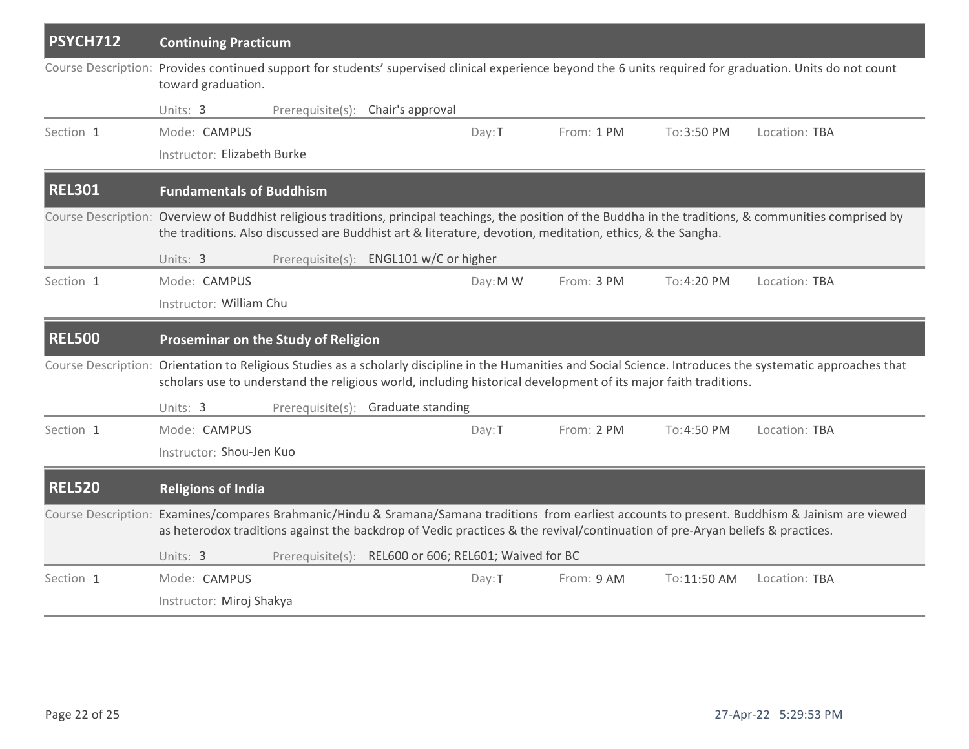| PSYCH712      | <b>Continuing Practicum</b>                                                                                                                                                                                                                                               |                  |                                                       |          |            |              |                                                                                                                                                                |  |  |
|---------------|---------------------------------------------------------------------------------------------------------------------------------------------------------------------------------------------------------------------------------------------------------------------------|------------------|-------------------------------------------------------|----------|------------|--------------|----------------------------------------------------------------------------------------------------------------------------------------------------------------|--|--|
|               | toward graduation.                                                                                                                                                                                                                                                        |                  |                                                       |          |            |              | Course Description: Provides continued support for students' supervised clinical experience beyond the 6 units required for graduation. Units do not count     |  |  |
|               | Units: 3                                                                                                                                                                                                                                                                  | Prerequisite(s): | Chair's approval                                      |          |            |              |                                                                                                                                                                |  |  |
| Section 1     | Mode: CAMPUS<br>Instructor: Elizabeth Burke                                                                                                                                                                                                                               |                  |                                                       | Day: T   | From: 1 PM | To:3:50 PM   | Location: TBA                                                                                                                                                  |  |  |
| <b>REL301</b> | <b>Fundamentals of Buddhism</b>                                                                                                                                                                                                                                           |                  |                                                       |          |            |              |                                                                                                                                                                |  |  |
|               | Course Description: Overview of Buddhist religious traditions, principal teachings, the position of the Buddha in the traditions, & communities comprised by<br>the traditions. Also discussed are Buddhist art & literature, devotion, meditation, ethics, & the Sangha. |                  |                                                       |          |            |              |                                                                                                                                                                |  |  |
|               | Units: 3                                                                                                                                                                                                                                                                  |                  | Prerequisite(s): ENGL101 w/C or higher                |          |            |              |                                                                                                                                                                |  |  |
| Section 1     | Mode: CAMPUS                                                                                                                                                                                                                                                              |                  |                                                       | Day: M W | From: 3 PM | To: 4:20 PM  | Location: TBA                                                                                                                                                  |  |  |
|               | Instructor: William Chu                                                                                                                                                                                                                                                   |                  |                                                       |          |            |              |                                                                                                                                                                |  |  |
| <b>REL500</b> | Proseminar on the Study of Religion                                                                                                                                                                                                                                       |                  |                                                       |          |            |              |                                                                                                                                                                |  |  |
|               | scholars use to understand the religious world, including historical development of its major faith traditions.                                                                                                                                                           |                  |                                                       |          |            |              | Course Description: Orientation to Religious Studies as a scholarly discipline in the Humanities and Social Science. Introduces the systematic approaches that |  |  |
|               | Units: 3                                                                                                                                                                                                                                                                  |                  | Prerequisite(s): Graduate standing                    |          |            |              |                                                                                                                                                                |  |  |
| Section 1     | Mode: CAMPUS                                                                                                                                                                                                                                                              |                  |                                                       | Day: T   | From: 2 PM | To:4:50 PM   | Location: TBA                                                                                                                                                  |  |  |
|               | Instructor: Shou-Jen Kuo                                                                                                                                                                                                                                                  |                  |                                                       |          |            |              |                                                                                                                                                                |  |  |
| <b>REL520</b> | <b>Religions of India</b>                                                                                                                                                                                                                                                 |                  |                                                       |          |            |              |                                                                                                                                                                |  |  |
|               | as heterodox traditions against the backdrop of Vedic practices & the revival/continuation of pre-Aryan beliefs & practices.                                                                                                                                              |                  |                                                       |          |            |              | Course Description: Examines/compares Brahmanic/Hindu & Sramana/Samana traditions from earliest accounts to present. Buddhism & Jainism are viewed             |  |  |
|               | Units: 3                                                                                                                                                                                                                                                                  |                  | Prerequisite(s): REL600 or 606; REL601; Waived for BC |          |            |              |                                                                                                                                                                |  |  |
| Section 1     | Mode: CAMPUS                                                                                                                                                                                                                                                              |                  |                                                       | Day: T   | From: 9 AM | To: 11:50 AM | Location: TBA                                                                                                                                                  |  |  |
|               | Instructor: Miroj Shakya                                                                                                                                                                                                                                                  |                  |                                                       |          |            |              |                                                                                                                                                                |  |  |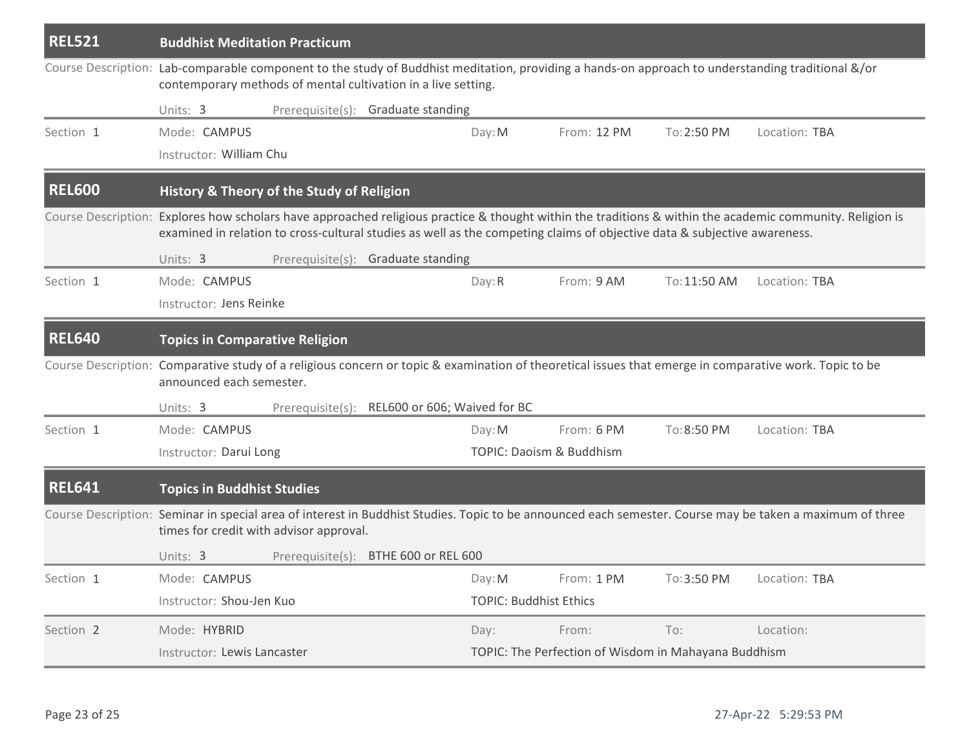| <b>REL521</b> | <b>Buddhist Meditation Practicum</b>                                                                                                                                                                                                                                                  |                                               |                               |                                                      |              |               |  |  |  |
|---------------|---------------------------------------------------------------------------------------------------------------------------------------------------------------------------------------------------------------------------------------------------------------------------------------|-----------------------------------------------|-------------------------------|------------------------------------------------------|--------------|---------------|--|--|--|
|               | Course Description: Lab-comparable component to the study of Buddhist meditation, providing a hands-on approach to understanding traditional &/or<br>contemporary methods of mental cultivation in a live setting.                                                                    |                                               |                               |                                                      |              |               |  |  |  |
|               | Units: 3                                                                                                                                                                                                                                                                              | Prerequisite(s): Graduate standing            |                               |                                                      |              |               |  |  |  |
| Section 1     | Mode: CAMPUS                                                                                                                                                                                                                                                                          |                                               | Day: M                        | From: 12 PM                                          | To: 2:50 PM  | Location: TBA |  |  |  |
|               | Instructor: William Chu                                                                                                                                                                                                                                                               |                                               |                               |                                                      |              |               |  |  |  |
| <b>REL600</b> | History & Theory of the Study of Religion                                                                                                                                                                                                                                             |                                               |                               |                                                      |              |               |  |  |  |
|               | Course Description: Explores how scholars have approached religious practice & thought within the traditions & within the academic community. Religion is<br>examined in relation to cross-cultural studies as well as the competing claims of objective data & subjective awareness. |                                               |                               |                                                      |              |               |  |  |  |
|               | Units: 3                                                                                                                                                                                                                                                                              | Prerequisite(s): Graduate standing            |                               |                                                      |              |               |  |  |  |
| Section 1     | Mode: CAMPUS                                                                                                                                                                                                                                                                          |                                               | Day: R                        | From: 9 AM                                           | To: 11:50 AM | Location: TBA |  |  |  |
|               | Instructor: Jens Reinke                                                                                                                                                                                                                                                               |                                               |                               |                                                      |              |               |  |  |  |
| <b>REL640</b> | <b>Topics in Comparative Religion</b>                                                                                                                                                                                                                                                 |                                               |                               |                                                      |              |               |  |  |  |
|               | Course Description: Comparative study of a religious concern or topic & examination of theoretical issues that emerge in comparative work. Topic to be<br>announced each semester.                                                                                                    |                                               |                               |                                                      |              |               |  |  |  |
|               | Units: 3                                                                                                                                                                                                                                                                              | Prerequisite(s): REL600 or 606; Waived for BC |                               |                                                      |              |               |  |  |  |
| Section 1     | Mode: CAMPUS                                                                                                                                                                                                                                                                          |                                               | Day: M                        | From: 6 PM                                           | To: 8:50 PM  | Location: TBA |  |  |  |
|               | TOPIC: Daoism & Buddhism<br>Instructor: Darui Long                                                                                                                                                                                                                                    |                                               |                               |                                                      |              |               |  |  |  |
| <b>REL641</b> | <b>Topics in Buddhist Studies</b>                                                                                                                                                                                                                                                     |                                               |                               |                                                      |              |               |  |  |  |
|               | Course Description: Seminar in special area of interest in Buddhist Studies. Topic to be announced each semester. Course may be taken a maximum of three<br>times for credit with advisor approval.                                                                                   |                                               |                               |                                                      |              |               |  |  |  |
|               | Units: 3                                                                                                                                                                                                                                                                              | Prerequisite(s): BTHE 600 or REL 600          |                               |                                                      |              |               |  |  |  |
| Section 1     | Mode: CAMPUS                                                                                                                                                                                                                                                                          |                                               | Day: M                        | From: 1 PM                                           | To: 3:50 PM  | Location: TBA |  |  |  |
|               | Instructor: Shou-Jen Kuo                                                                                                                                                                                                                                                              |                                               | <b>TOPIC: Buddhist Ethics</b> |                                                      |              |               |  |  |  |
| Section 2     | Mode: HYBRID                                                                                                                                                                                                                                                                          |                                               | Day:                          | From:                                                | To:          | Location:     |  |  |  |
|               | Instructor: Lewis Lancaster                                                                                                                                                                                                                                                           |                                               |                               | TOPIC: The Perfection of Wisdom in Mahayana Buddhism |              |               |  |  |  |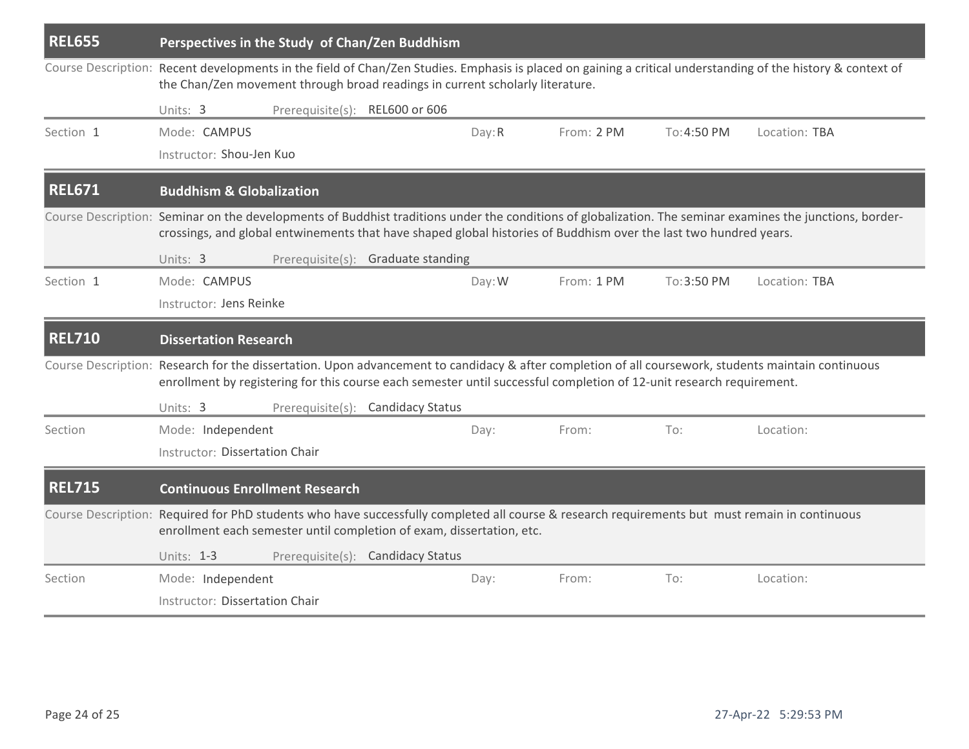| <b>REL655</b> | Perspectives in the Study of Chan/Zen Buddhism                                                                                                                                                                                                                                 |                                |                                    |        |            |             |                                                                                                                                                     |  |  |
|---------------|--------------------------------------------------------------------------------------------------------------------------------------------------------------------------------------------------------------------------------------------------------------------------------|--------------------------------|------------------------------------|--------|------------|-------------|-----------------------------------------------------------------------------------------------------------------------------------------------------|--|--|
|               | Course Description: Recent developments in the field of Chan/Zen Studies. Emphasis is placed on gaining a critical understanding of the history & context of<br>the Chan/Zen movement through broad readings in current scholarly literature.                                  |                                |                                    |        |            |             |                                                                                                                                                     |  |  |
|               | Units: 3                                                                                                                                                                                                                                                                       | Prerequisite(s): REL600 or 606 |                                    |        |            |             |                                                                                                                                                     |  |  |
| Section 1     | Mode: CAMPUS<br>Instructor: Shou-Jen Kuo                                                                                                                                                                                                                                       |                                |                                    | Day: R | From: 2 PM | To: 4:50 PM | Location: TBA                                                                                                                                       |  |  |
| <b>REL671</b> | <b>Buddhism &amp; Globalization</b>                                                                                                                                                                                                                                            |                                |                                    |        |            |             |                                                                                                                                                     |  |  |
|               | Course Description: Seminar on the developments of Buddhist traditions under the conditions of globalization. The seminar examines the junctions, border-<br>crossings, and global entwinements that have shaped global histories of Buddhism over the last two hundred years. |                                |                                    |        |            |             |                                                                                                                                                     |  |  |
|               | Units: 3                                                                                                                                                                                                                                                                       |                                | Prerequisite(s): Graduate standing |        |            |             |                                                                                                                                                     |  |  |
| Section 1     | Mode: CAMPUS                                                                                                                                                                                                                                                                   |                                |                                    | Day: W | From: 1 PM | To: 3:50 PM | Location: TBA                                                                                                                                       |  |  |
|               | Instructor: Jens Reinke                                                                                                                                                                                                                                                        |                                |                                    |        |            |             |                                                                                                                                                     |  |  |
| <b>REL710</b> | <b>Dissertation Research</b>                                                                                                                                                                                                                                                   |                                |                                    |        |            |             |                                                                                                                                                     |  |  |
|               | enrollment by registering for this course each semester until successful completion of 12-unit research requirement.                                                                                                                                                           |                                |                                    |        |            |             | Course Description: Research for the dissertation. Upon advancement to candidacy & after completion of all coursework, students maintain continuous |  |  |
|               | Units: 3                                                                                                                                                                                                                                                                       |                                | Prerequisite(s): Candidacy Status  |        |            |             |                                                                                                                                                     |  |  |
| Section       | Mode: Independent                                                                                                                                                                                                                                                              |                                |                                    | Day:   | From:      | To:         | Location:                                                                                                                                           |  |  |
|               | Instructor: Dissertation Chair                                                                                                                                                                                                                                                 |                                |                                    |        |            |             |                                                                                                                                                     |  |  |
| <b>REL715</b> | <b>Continuous Enrollment Research</b>                                                                                                                                                                                                                                          |                                |                                    |        |            |             |                                                                                                                                                     |  |  |
|               | Course Description: Required for PhD students who have successfully completed all course & research requirements but must remain in continuous<br>enrollment each semester until completion of exam, dissertation, etc.                                                        |                                |                                    |        |            |             |                                                                                                                                                     |  |  |
|               | Units: 1-3                                                                                                                                                                                                                                                                     |                                | Prerequisite(s): Candidacy Status  |        |            |             |                                                                                                                                                     |  |  |
| Section       | Mode: Independent                                                                                                                                                                                                                                                              |                                |                                    | Day:   | From:      | To:         | Location:                                                                                                                                           |  |  |
|               | Instructor: Dissertation Chair                                                                                                                                                                                                                                                 |                                |                                    |        |            |             |                                                                                                                                                     |  |  |